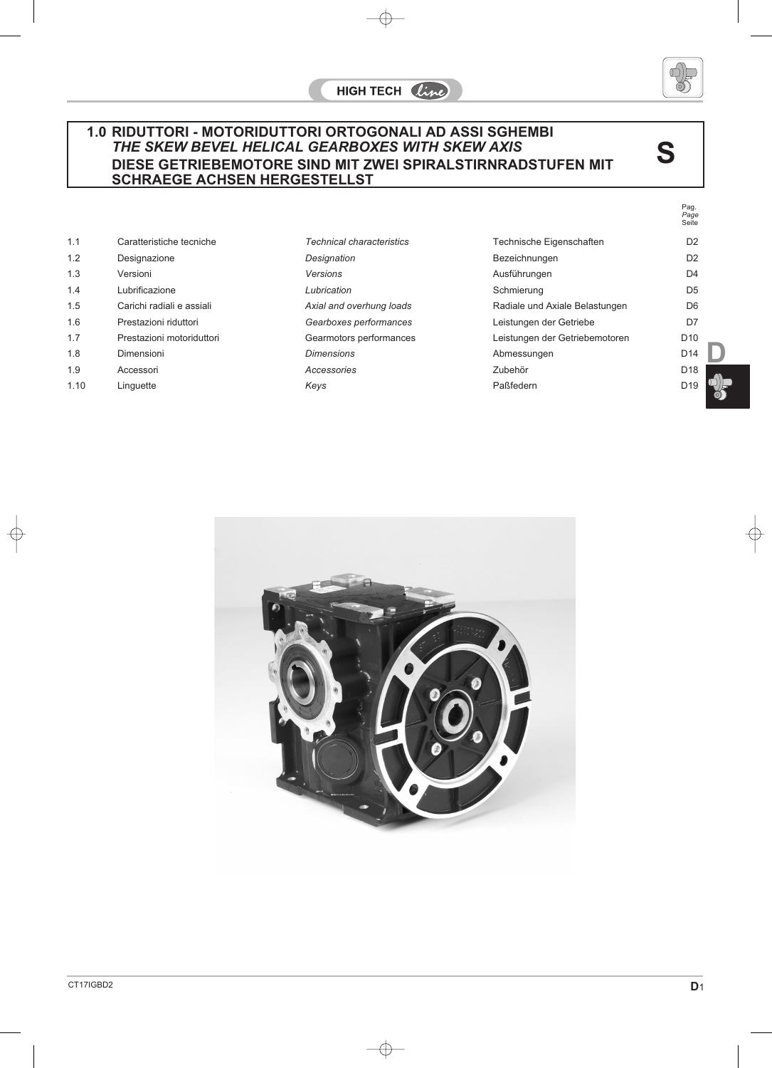## **1.0 RIDUTTORI - MOTORIDUTTORI ORTOGONALI AD ASSI SGHEMBI** *THE SKEW BEVEL HELICAL GEARBOXES WITH SKEW AXIS* **DIESE GETRIEBEMOTORE SIND MIT ZWEI SPIRALSTIRNRADSTUFEN MIT SCHRAEGE ACHSEN HERGESTELLST**

| 1.1  | Caratteristiche tecniche  | <b>Technical characteristics</b> | Technische Eigenschaften       | D <sub>2</sub>  |
|------|---------------------------|----------------------------------|--------------------------------|-----------------|
| 1.2  | Designazione              | Designation                      | Bezeichnungen                  | D <sub>2</sub>  |
| 1.3  | Versioni                  | Versions                         | Ausführungen                   | D <sub>4</sub>  |
| 1.4  | Lubrificazione            | Lubrication                      | Schmierung                     | D <sub>5</sub>  |
| 1.5  | Carichi radiali e assiali | Axial and overhung loads         | Radiale und Axiale Belastungen | D <sub>6</sub>  |
| 1.6  | Prestazioni riduttori     | Gearboxes performances           | Leistungen der Getriebe        | D7              |
| 1.7  | Prestazioni motoriduttori | Gearmotors performances          | Leistungen der Getriebemotoren | D <sub>10</sub> |
| 1.8  | Dimensioni                | <b>Dimensions</b>                | Abmessungen                    | D <sub>14</sub> |
| 1.9  | Accessori                 | Accessories                      | Zubehör                        | D <sub>18</sub> |
| 1.10 | Linguette                 | Keys                             | Paßfedern                      | D <sub>19</sub> |





**S**

Pag. *Page* Seite

**D**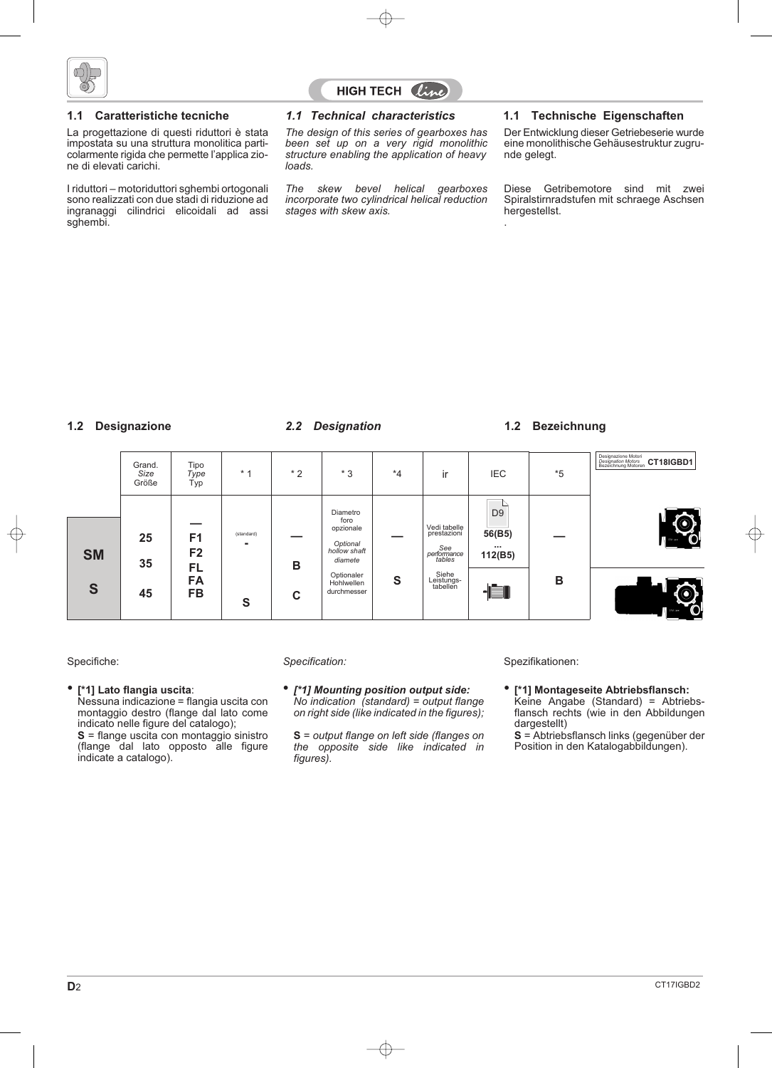

La progettazione di questi riduttori è stata impostata su una struttura monolitica particolarmente rigida che permette l'applica zione di elevati carichi.

I riduttori – motoriduttori sghembi ortogonali sono realizzati con due stadi di riduzione ad ingranaggi cilindrici elicoidali ad assi sghembi.

# **HIGH TECH** *line*

*The design of this series of gearboxes has been set up on a very rigid monolithic structure enabling the application of heavy loads.*

*The skew bevel helical gearboxes incorporate two cylindrical helical reduction stages with skew axis.*

### **1.1 Caratteristiche tecniche** *1.1 Technical characteristics* **1.1 Technische Eigenschaften**

Der Entwicklung dieser Getriebeserie wurde eine monolithische Gehäusestruktur zugrunde gelegt.

Diese Getribemotore sind mit zwei Spiralstirnradstufen mit schraege Aschsen hergestellst.

### **1.2 Designazione 1.2 Bezeichnung** *2.2 Designation*

.

|           | Grand.<br>Size<br>Größe | Tipo<br>Type<br>Typ              | $*1$            | $*2$   | $*3$                                                                 | $*_{4}$ | ir                                                                | <b>IEC</b>                                      | *5 | Designazione Motori<br>Designation Motors<br>Bezeichnung Motoren<br>CT18IGBD1 |
|-----------|-------------------------|----------------------------------|-----------------|--------|----------------------------------------------------------------------|---------|-------------------------------------------------------------------|-------------------------------------------------|----|-------------------------------------------------------------------------------|
| <b>SM</b> | 25<br>35                | F <sub>1</sub><br>F <sub>2</sub> | (standard)<br>۰ | B      | Diametro<br>foro<br>opzionale<br>Optional<br>hollow shaft<br>diamete |         | Vedi tabelle<br>prestazioni<br>See<br>  performance  <br>  tables | D <sub>9</sub><br>56(B5)<br>$\cdots$<br>112(B5) |    | $\mathbf{O}$                                                                  |
| S         | 45                      | <b>FL</b><br>FA<br><b>FB</b>     | S               | ◠<br>U | Optionaler<br>Hohlwellen<br>durchmesser                              | S       | Siehe<br>Leistungs-<br>tabellen                                   |                                                 | B  | Ő                                                                             |

### • **[\*1] Lato flangia uscita**:

Nessuna indicazione = flangia uscita con montaggio destro (flange dal lato come indicato nelle figure del catalogo); **S** = flange uscita con montaggio sinistro (flange dal lato opposto alle figure indicate a catalogo).

• *[\*1] Mounting position output side: No indication (standard) = output flange on right side (like indicated in the figures);*

**S** = *output flange on left side (flanges on the opposite side like indicated in figures).*

Specifiche: *Specification:* Spezifikationen:

• **[\*1] Montageseite Abtriebsflansch:** Keine Angabe (Standard) = Abtriebsflansch rechts (wie in den Abbildungen dargestellt)

**S** = Abtriebsflansch links (gegenüber der Position in den Katalogabbildungen).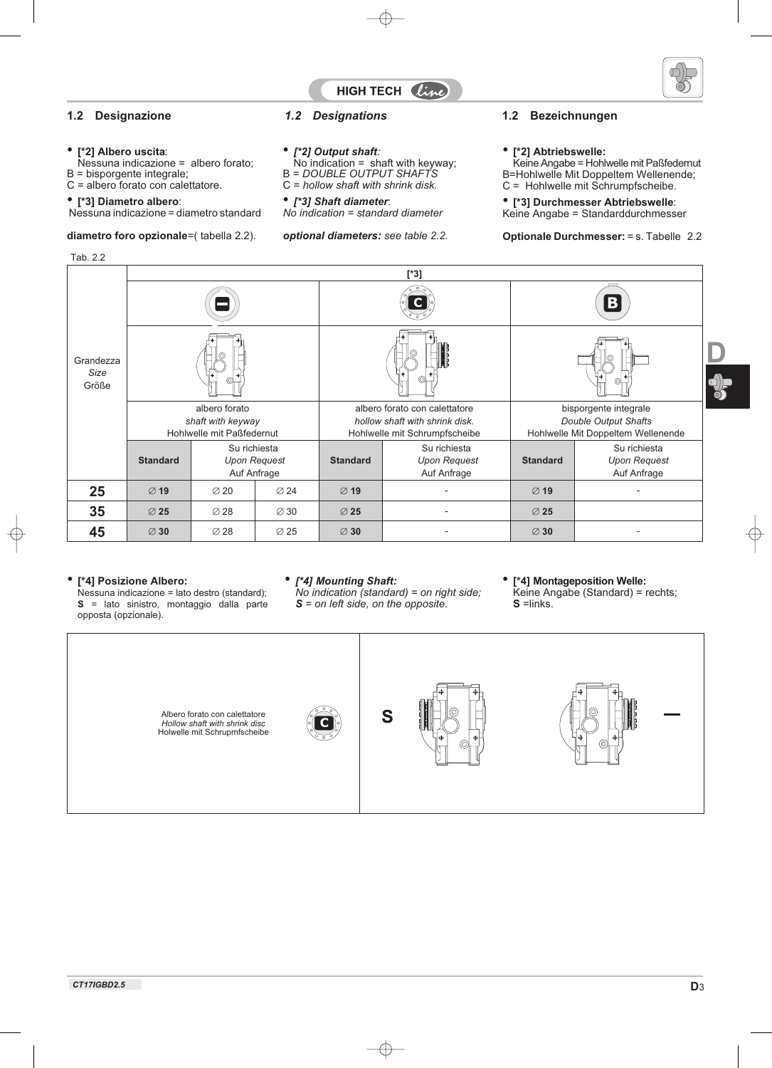



### • **[\*2] Albero uscita**:

Nessuna indicazione = albero forato; B = bisporgente integrale;

C = albero forato con calettatore.

### • **[\*3] Diametro albero**:

Nessuna indicazione = diametro standard

### **diametro foro opzionale**=( tabella 2.2).

Tab. 2.2

### • *[\*2] Output shaft:*

 $No$  indication = shaft with keyway; B = *DOUBLE OUTPUT SHAFTS*

C = *hollow shaft with shrink disk.*

# • *[\*3] Shaft diameter*:

*No indication = standard diameter*

*optional diameters: see table 2.2.*

### **1.2 Designazione** *1.2 Designations* **1.2 Bezeichnungen**

### • **[\*2] Abtriebswelle:**

Keine Angabe = Hohlwelle mit Paßfedernut B=Hohlwelle Mit Doppeltem Wellenende; C = Hohlwelle mit Schrumpfscheibe.

• **[\*3] Durchmesser Abtriebswelle**:

Keine Angabe = Standarddurchmesser

### **Optionale Durchmesser:** = s. Tabelle 2.2

|                                                                 | $[^*3]$                                                  |                  |                                    |                  |                                                                                                  |                  |                                                                                     |  |  |  |  |
|-----------------------------------------------------------------|----------------------------------------------------------|------------------|------------------------------------|------------------|--------------------------------------------------------------------------------------------------|------------------|-------------------------------------------------------------------------------------|--|--|--|--|
|                                                                 |                                                          |                  |                                    |                  |                                                                                                  | $ \mathbf{B} $   |                                                                                     |  |  |  |  |
| Grandezza<br>Size<br>Größe                                      |                                                          |                  |                                    |                  |                                                                                                  |                  |                                                                                     |  |  |  |  |
| albero forato<br>shaft with keyway<br>Hohlwelle mit Paßfedernut |                                                          |                  |                                    |                  | albero forato con calettatore<br>hollow shaft with shrink disk.<br>Hohlwelle mit Schrumpfscheibe |                  | bisporgente integrale<br>Double Output Shafts<br>Hohlwelle Mit Doppeltem Wellenende |  |  |  |  |
|                                                                 | <b>Standard</b>                                          | Su richiesta     | <b>Upon Request</b><br>Auf Anfrage | <b>Standard</b>  | Su richiesta<br><b>Upon Request</b><br>Auf Anfrage                                               | <b>Standard</b>  | Su richiesta<br><b>Upon Request</b><br>Auf Anfrage                                  |  |  |  |  |
| 25                                                              | $\varnothing$ 19                                         | $\varnothing$ 20 | $\varnothing$ 24                   | $\varnothing$ 19 |                                                                                                  | $\varnothing$ 19 |                                                                                     |  |  |  |  |
| 35                                                              | $\varnothing$ 25                                         | $\varnothing$ 28 | $\varnothing$ 30                   | $\varnothing$ 25 |                                                                                                  | $\varnothing$ 25 |                                                                                     |  |  |  |  |
| 45                                                              | $\varnothing$ 30<br>$\varnothing$ 28<br>$\varnothing$ 25 |                  |                                    | $\varnothing$ 30 |                                                                                                  | $\varnothing$ 30 |                                                                                     |  |  |  |  |

### • **[\*4] Posizione Albero:**

Nessuna indicazione = lato destro (standard); **S** = lato sinistro, montaggio dalla parte opposta (opzionale).

### • *[\*4] Mounting Shaft:*

*No indication (standard) = on right side; S = on left side, on the opposite.*

• **[\*4] Montageposition Welle:**

Keine Angabe (Standard) = rechts; **S** = links.

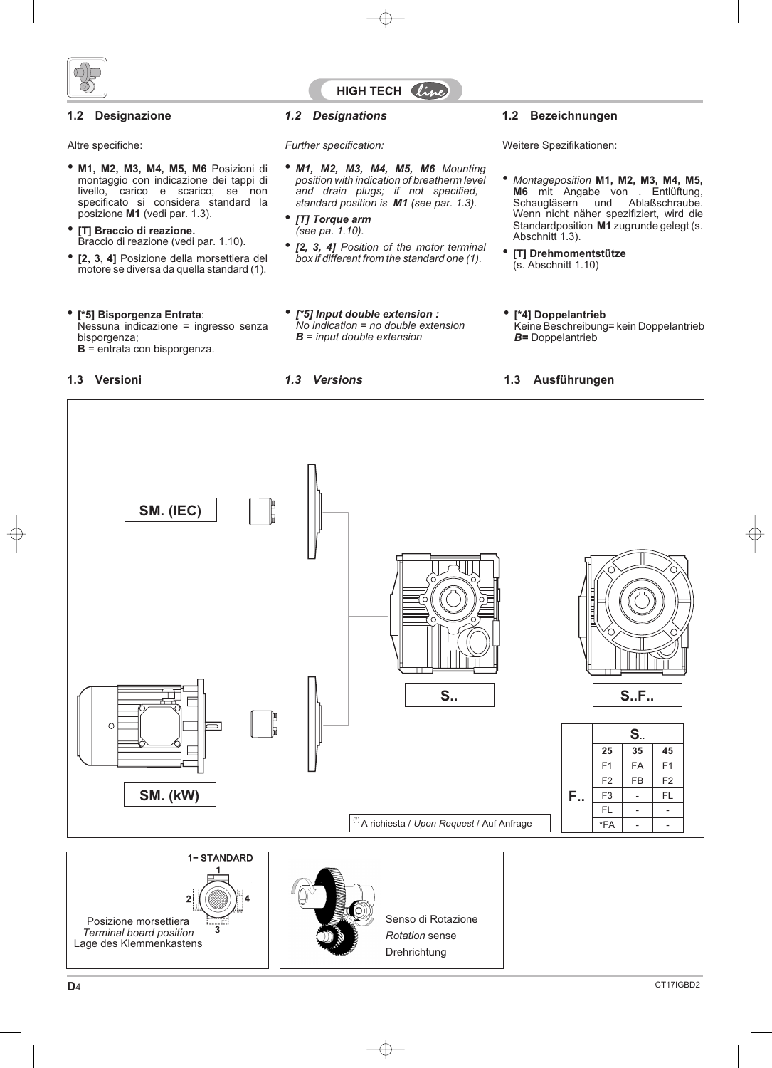

## **HIGH TECH** *line*

#### • **M1, M2, M3, M4, M5, M6** Posizioni di montaggio con indicazione dei tappi di livello, carico e scarico; se non specificato si considera standard la posizione **M1** (vedi par. 1.3).

- **[T] Braccio di reazione.** Braccio di reazione (vedi par. 1.10).
- **[2, 3, 4]** Posizione della morsettiera del motore se diversa da quella standard (1).

### • **[\*5] Bisporgenza Entrata**:

Nessuna indicazione = ingresso senza bisporgenza; **B** = entrata con bisporgenza.

- *M1, M2, M3, M4, M5, M6 Mounting position with indication of breatherm level and drain plugs; if not specified, standard position is M1 (see par. 1.3).*
- *[T] Torque arm (see pa. 1.10).*
- *[2, 3, 4] Position of the motor terminal box if different from the standard one (1).*
- *[\*5] Input double extension : No indication = no double extension B = input double extension*

### **1.2 Designazione** *1.2 Designations* **1.2 Bezeichnungen**

Altre specifiche: *Further specification:* Weitere Spezifikationen:

- *Montageposition* **M1, M2, M3, M4, M5, M6** mit Angabe von . Entlüftung, Schaugläsern und Ablaßschraube. Wenn nicht näher spezifiziert, wird die Standardposition **M1** zugrunde gelegt (s. Abschnitt 1.3).
- **[T] Drehmomentstütze** (s. Abschnitt 1.10)
- **[\*4] Doppelantrieb** Keine Beschreibung= kein Doppelantrieb *B=* Doppelantrieb

### **1.3 Versioni** *1.3 Versions* **1.3 Ausführungen**

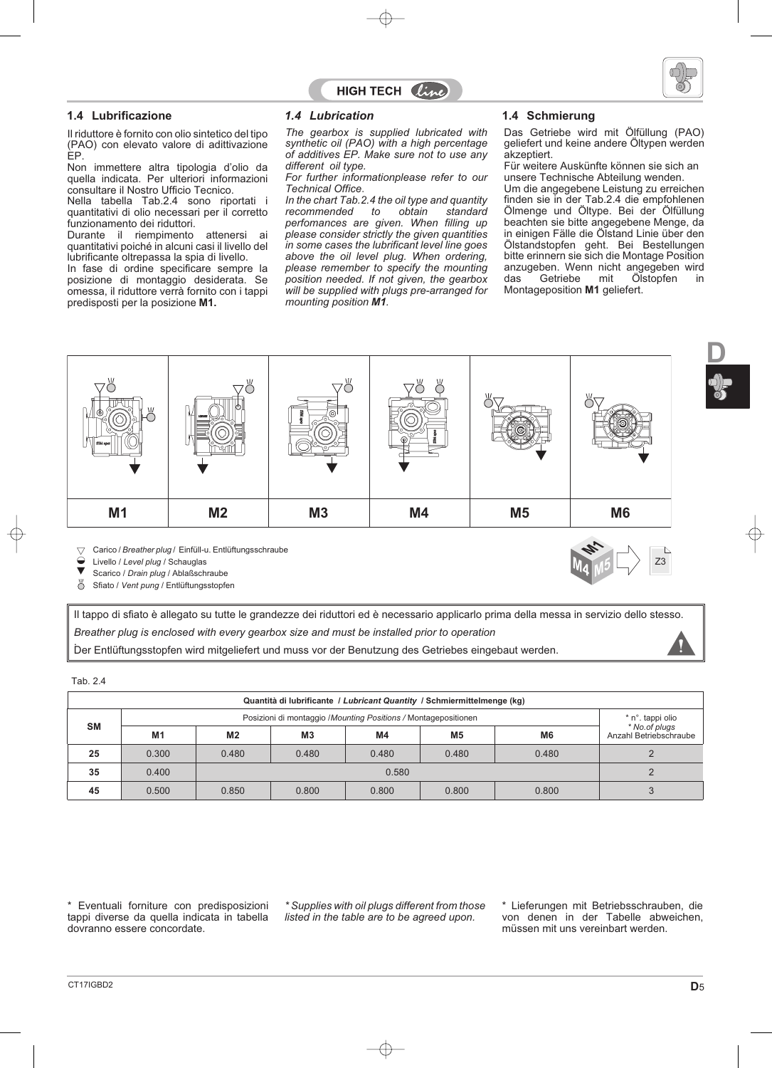



### **1.4 Lubrificazione 1.4 Schmierung** *1.4 Lubrication*

Il riduttore è fornito con olio sintetico del tipo (PAO) con elevato valore di adittivazione EP.

Non immettere altra tipologia d'olio da quella indicata. Per ulteriori informazioni consultare il Nostro Ufficio Tecnico.

Nella tabella Tab.2.4 sono riportati i quantitativi di olio necessari per il corretto funzionamento dei riduttori.

Durante il riempimento attenersi ai quantitativi poiché in alcuni casi il livello del lubrificante oltrepassa la spia di livello. In fase di ordine specificare sempre la posizione di montaggio desiderata. Se omessa, il riduttore verrà fornito con i tappi predisposti per la posizione **M1.**

*The gearbox is supplied lubricated with synthetic oil (PAO) with a high percentage of additives EP. Make sure not to use any different oil type.*

*For further informationplease refer to our Technical Office.*

*In the chart Tab.2.4 the oil type and quantity* recommended to *perfomances are given. When filling up please consider strictly the given quantities in some cases the lubrificant level line goes above the oil level plug. When ordering, please remember to specify the mounting position needed. If not given, the gearbox will be supplied with plugs pre-arranged for mounting position M1.*

Das Getriebe wird mit Ölfüllung (PAO) geliefert und keine andere Öltypen werden akzeptiert.

Für weitere Auskünfte können sie sich an unsere Technische Abteilung wenden.

Um die angegebene Leistung zu erreichen finden sie in der Tab.2.4 die empfohlenen Ölmenge und Öltype. Bei der Ölfüllung beachten sie bitte angegebene Menge, da in einigen Fälle die Ölstand Linie über den Ölstandstopfen geht. Bei Bestellungen bitte erinnern sie sich die Montage Position anzugeben. Wenn nicht angegeben wird<br>das Getriebe mit Ölstopfen in das Getriebe mit Ölstopfen in Montageposition **M1** geliefert.

**M4 M5**

Z3



Carico / *Breather plug* / Einfüll-u. Entlüftungsschraube  $\bigtriangledown$ 

Livello / *Level plug* / Schauglas

Scarico / *Drain plug* / Ablaßschraube

Ő Sfiato / *Vent pung* / Entlüftungsstopfen

Il tappo di sfiato è allegato su tutte le grandezze dei riduttori ed è necessario applicarlo prima della messa in servizio dello stesso. *Breather plug is enclosed with every gearbox size and must be installed prior to operation* . Der Entlüftungsstopfen wird mitgeliefert und muss vor der Benutzung des Getriebes eingebaut werden.

Tab. 2.4

| Quantità di lubrificante / Lubricant Quantity / Schmiermittelmenge (kg) |                |                                           |                |                                                                                    |                |                |                                         |  |  |  |  |
|-------------------------------------------------------------------------|----------------|-------------------------------------------|----------------|------------------------------------------------------------------------------------|----------------|----------------|-----------------------------------------|--|--|--|--|
|                                                                         |                |                                           |                | Posizioni di montaggio /Mounting Positions / Montagepositionen<br>* n°. tappi olio |                |                |                                         |  |  |  |  |
| <b>SM</b>                                                               | M <sub>1</sub> | M2                                        | M <sub>3</sub> | M <sub>4</sub>                                                                     | M <sub>5</sub> | M <sub>6</sub> | * No.of plugs<br>Anzahl Betriebschraube |  |  |  |  |
| 25                                                                      | 0.300          | 0.480                                     | 0.480          | 0.480                                                                              | 0.480          | 0.480          |                                         |  |  |  |  |
| 35                                                                      | 0.400          |                                           | 0.580          |                                                                                    |                |                |                                         |  |  |  |  |
| 45                                                                      | 0.500          | 0.850<br>0.800<br>0.800<br>0.800<br>0.800 |                |                                                                                    |                |                |                                         |  |  |  |  |

\* Eventuali forniture con predisposizioni tappi diverse da quella indicata in tabella dovranno essere concordate.

*\* Supplies with oil plugs different from those listed in the table are to be agreed upon.*

\* Lieferungen mit Betriebsschrauben, die von denen in der Tabelle abweichen, müssen mit uns vereinbart werden.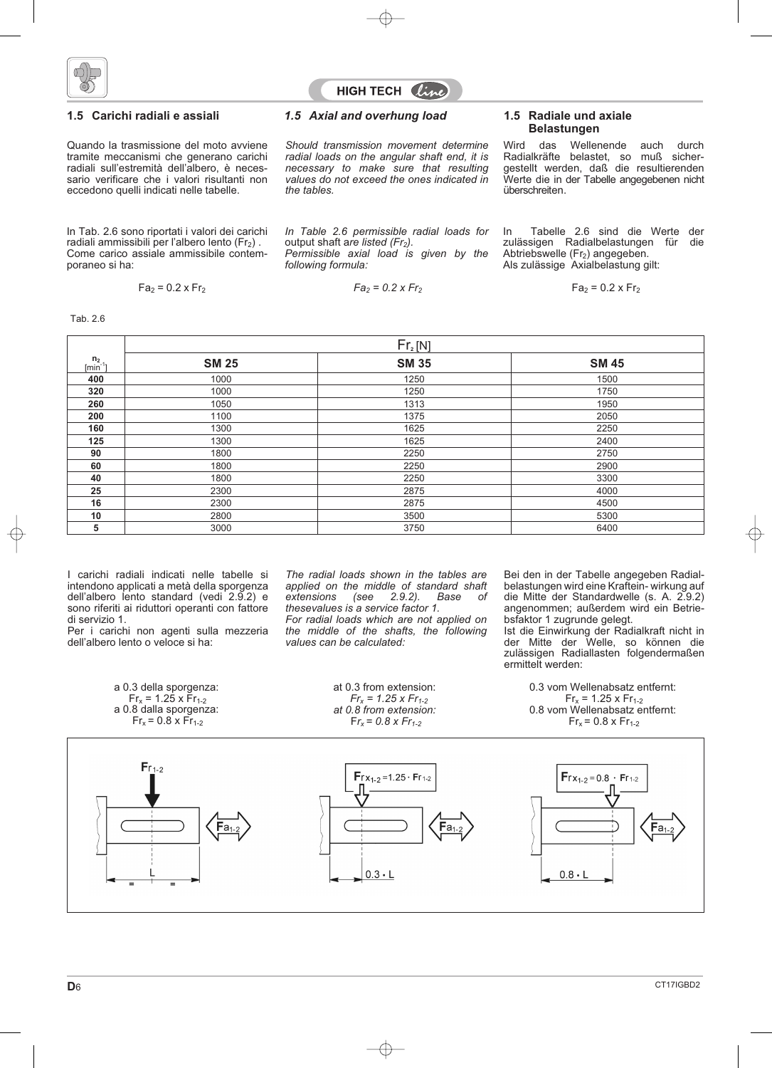



Quando la trasmissione del moto avviene tramite meccanismi che generano carichi radiali sull'estremità dell'albero, è necessario verificare che i valori risultanti non eccedono quelli indicati nelle tabelle.

In Tab. 2.6 sono riportati i valori dei carichi radiali ammissibili per l'albero lento  $(Fr<sub>2</sub>)$ . Come carico assiale ammissibile contemporaneo si ha:

$$
Fa_2 = 0.2 \times Fr_2
$$

Tab. 2.6

### **1.5 Carichi radiali e assiali 1.5 Radiale und axiale** *1.5 Axial and overhung load*

*Should transmission movement determine radial loads on the angular shaft end, it is necessary to make sure that resulting values do not exceed the ones indicated in the tables.*

*In Table 2.6 permissible radial loads for*

*Permissible axial load is given by the*

*Fa2 = 0.2 x Fr2*

output shaft are listed (Fr<sub>2</sub>).

*following formula:*

# **Belastungen**

Wird das Wellenende auch durch Radialkräfte belastet, so muß sichergestellt werden, daß die resultierenden Werte die in der Tabelle angegebenen nicht überschreiten.

In Tabelle 2.6 sind die Werte der<br>zulässigen Radialbelastungen für die zulässigen Radialbelastungen für Abtriebswelle (Fr2) angegeben. Als zulässige Axialbelastung gilt:

 $Fa_2 = 0.2 \times Fr_2$ 

|                              | Fr <sub>2</sub> [N] |              |              |  |  |  |  |  |  |
|------------------------------|---------------------|--------------|--------------|--|--|--|--|--|--|
| $\frac{n_2}{\text{[min}^2]}$ | <b>SM 25</b>        | <b>SM 35</b> | <b>SM 45</b> |  |  |  |  |  |  |
| 400                          | 1000                | 1250         | 1500         |  |  |  |  |  |  |
| 320                          | 1000                | 1250         | 1750         |  |  |  |  |  |  |
| 260                          | 1050                | 1313         | 1950         |  |  |  |  |  |  |
| 200                          | 1100                | 1375         | 2050         |  |  |  |  |  |  |
| 160                          | 1300                | 1625         | 2250         |  |  |  |  |  |  |
| 125                          | 1300                | 1625         | 2400         |  |  |  |  |  |  |
| 90                           | 1800                | 2250         | 2750         |  |  |  |  |  |  |
| 60                           | 1800                | 2250         | 2900         |  |  |  |  |  |  |
| 40                           | 1800                | 2250         | 3300         |  |  |  |  |  |  |
| 25                           | 2300                | 2875         | 4000         |  |  |  |  |  |  |
| 16                           | 2300                | 2875         | 4500         |  |  |  |  |  |  |
| 10                           | 2800                | 3500         | 5300         |  |  |  |  |  |  |
| 5                            | 3000                | 3750         | 6400         |  |  |  |  |  |  |

I carichi radiali indicati nelle tabelle si intendono applicati a metà della sporgenza dell'albero lento standard (vedi 2.9.2) e sono riferiti ai riduttori operanti con fattore di servizio 1.

Per i carichi non agenti sulla mezzeria dell'albero lento o veloce si ha:

> a 0.3 della sporgenza:  $Fr_x = 1.25 \times Fr_{1-2}$ a 0.8 dalla sporgenza:

*The radial loads shown in the tables are applied on the middle of standard shaft extensions (see 2.9.2). Base of thesevalues is a service factor 1. For radial loads which are not applied on the middle of the shafts, the following values can be calculated:*

> at 0.3 from extension:  $Fr_x = 1.25 \times Fr_{1-2}$ *at 0.8 from extension:*

Bei den in der Tabelle angegeben Radialbelastungen wird eine Kraftein- wirkung auf die Mitte der Standardwelle (s. A. 2.9.2) angenommen; außerdem wird ein Betriebsfaktor 1 zugrunde gelegt. Ist die Einwirkung der Radialkraft nicht in

der Mitte der Welle, so können die zulässigen Radiallasten folgendermaßen ermittelt werden:

> 0.3 vom Wellenabsatz entfernt:  $Fr_x = 1.25 \times Fr_{1-2}$ 0.8 vom Wellenabsatz entfernt:  $Fr_x = 0.8 \times Fr_{1-2}$

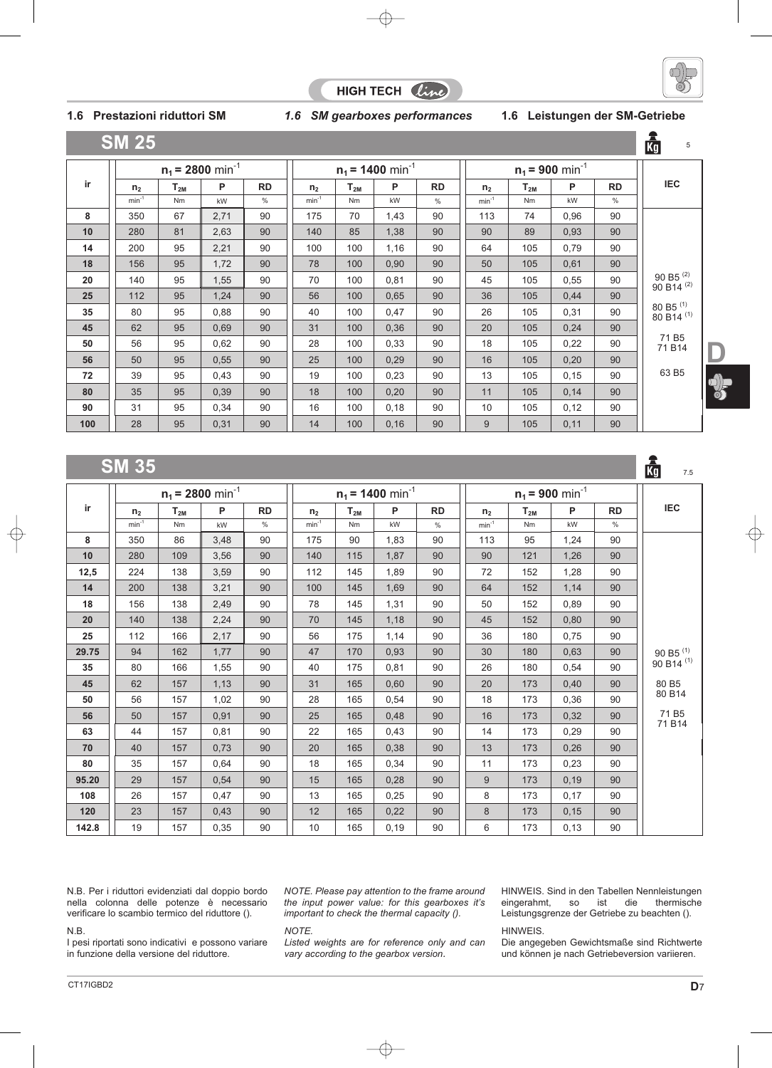





ार्ति

5

### **1.6 Prestazioni riduttori SM** *1.6 SM gearboxes performances* **1.6 Leistungen der SM-Getriebe**

|--|

|     |                |           | $n_1$ = 2800 min <sup>-1</sup> |           |                |           | $n_1$ = 1400 min <sup>-1</sup> |           |                |          | $n_1 = 900$ min <sup>-1</sup> |           |                                               |
|-----|----------------|-----------|--------------------------------|-----------|----------------|-----------|--------------------------------|-----------|----------------|----------|-------------------------------|-----------|-----------------------------------------------|
| ir  | n <sub>2</sub> | $T_{2M}$  | P                              | <b>RD</b> | n <sub>2</sub> | $T_{2M}$  | P                              | <b>RD</b> | n <sub>2</sub> | $T_{2M}$ | P                             | <b>RD</b> | <b>IEC</b>                                    |
|     | $min-1$        | <b>Nm</b> | kW                             | $\%$      | $min-1$        | <b>Nm</b> | kW                             | $\%$      | $min^{-1}$     | Nm       | kW                            | $\%$      |                                               |
| 8   | 350            | 67        | 2,71                           | 90        | 175            | 70        | 1,43                           | 90        | 113            | 74       | 0,96                          | 90        |                                               |
| 10  | 280            | 81        | 2,63                           | 90        | 140            | 85        | 1,38                           | 90        | 90             | 89       | 0,93                          | 90        |                                               |
| 14  | 200            | 95        | 2,21                           | 90        | 100            | 100       | 1,16                           | 90        | 64             | 105      | 0,79                          | 90        |                                               |
| 18  | 156            | 95        | 1,72                           | 90        | 78             | 100       | 0,90                           | 90        | 50             | 105      | 0,61                          | 90        |                                               |
| 20  | 140            | 95        | 1,55                           | 90        | 70             | 100       | 0,81                           | 90        | 45             | 105      | 0,55                          | 90        | 90 B5 <sup>(2)</sup><br>90 B14 <sup>(2)</sup> |
| 25  | 112            | 95        | 1,24                           | 90        | 56             | 100       | 0,65                           | 90        | 36             | 105      | 0,44                          | 90        |                                               |
| 35  | 80             | 95        | 0,88                           | 90        | 40             | 100       | 0,47                           | 90        | 26             | 105      | 0,31                          | 90        | 80 B5 $(1)$<br>80 B14 <sup>(1)</sup>          |
| 45  | 62             | 95        | 0,69                           | 90        | 31             | 100       | 0,36                           | 90        | 20             | 105      | 0,24                          | 90        |                                               |
| 50  | 56             | 95        | 0.62                           | 90        | 28             | 100       | 0,33                           | 90        | 18             | 105      | 0,22                          | 90        | 71 B <sub>5</sub><br>71 B14                   |
| 56  | 50             | 95        | 0,55                           | 90        | 25             | 100       | 0,29                           | 90        | 16             | 105      | 0,20                          | 90        |                                               |
| 72  | 39             | 95        | 0,43                           | 90        | 19             | 100       | 0,23                           | 90        | 13             | 105      | 0,15                          | 90        | 63 B5                                         |
| 80  | 35             | 95        | 0,39                           | 90        | 18             | 100       | 0,20                           | 90        | 11             | 105      | 0,14                          | 90        |                                               |
| 90  | 31             | 95        | 0,34                           | 90        | 16             | 100       | 0,18                           | 90        | 10             | 105      | 0,12                          | 90        |                                               |
| 100 | 28             | 95        | 0,31                           | 90        | 14             | 100       | 0,16                           | 90        | 9              | 105      | 0,11                          | 90        |                                               |

#### **SM 35** 鹵 7.5 $n_1$  **= 2800** min<sup>-1</sup> **d n**<sub>1</sub> **= 1400** min<sup>-1</sup> **d n**<sub>1</sub> **= 900** min<sup>-1</sup> **ir**  $n_2$  **|**  $T_{2M}$  **| P RD**  $|$   $|$   $n_2$   $|$   $T_{2M}$   $|$  **P**  $|$  **RD**  $|$   $|$  **P**  $|$   $|$  **RD**  $|$   $|$  **BC** min<sup>-1</sup> | Nm | kW | % || min<sup>-1</sup> | Nm | kW | % || min<sup>-1</sup> | Nm | kW | % **8** || 350 | 86 || 3,48 || 90 || 175 || 90 || 1,83 || 90 || 113 || 95 || 1,24 || 90 **10** || 280 | 109 || 3,56 || 90 || 140 | 115 | 1,87 | 90 || 90 | 121 | 1,26 | 90 **12,5** || 224 | 138 || 3,59 || 90 || 112 | 145 | 1,89 | 90 || 72 | 152 | 1,28 | 90 **14** || 200 | 138 || 3,21 || 90 || 100 | 145 | 1,69 || 90 || 64 | 152 | 1,14 || 90 **18** || 156 | 138 || 2,49 || 90 || 78 || 145 || 1,31 || 90 || 50 || 152 || 0,89 || 90 **20** || 140 | 138 || 2,24 || 90 || 70 || 145 || 1,18 || 90 || 45 || 152 || 0,80 || 90 **25** || 112 | 166 || 2,17 || 90 || 56 || 175 || 1,14 || 90 || 36 || 180 || 0,75 || 90 90 B5 (1) **29.75** | 94 | 162 | 1,77 | 90 | 47 | 170 | 0,93 | 90 || 30 | 180 | 0,63 | 90 90 B14 (1) **35** || 80 | 166 | 1,55 | 90 || 40 | 175 | 0,81 | 90 || 26 | 180 | 0,54 | 90 80 B5 **45** || 62 | 157 | 1,13 | 90 || 31 | 165 | 0,60 | 90 || 20 | 173 | 0,40 | 90 80 B14 **50** || 56 | 157 | 1,02 | 90 || 28 | 165 | 0,54 | 90 || 18 | 173 | 0,36 | 90 71 B5 **56** || 50 | 157 | 0,91 | 90 || 25 | 165 | 0,48 | 90 || 16 | 173 | 0,32 | 90 71 B14 **63** || 44 | 157 | 0,81 | 90 || 22 | 165 | 0,43 | 90 || 14 | 173 | 0,29 | 90 **70** || 40 | 157 | 0,73 | 90 || 20 || 165 | 0,38 | 90 || 13 | 173 | 0,26 | 90 **80** || 35 | 157 | 0,64 | 90 || 18 | 165 | 0,34 | 90 || 11 | 173 | 0,23 | 90 **95.20** | 29 | 157 | 0,54 | 90 | 15 | 165 | 0,28 | 90 || 9 | 173 | 0,19 | 90 **108** || 26 | 157 | 0,47 | 90 || 13 | 165 | 0,25 | 90 || 8 | 173 | 0,17 | 90 **120** || 23 | 157 | 0,43 | 90 || 12 | 165 | 0,22 | 90 || 8 | 173 | 0,15 | 90 **142.8** || 19 | 157 | 0,35 | 90 || 10 | 165 | 0,19 | 90 || 6 | 173 | 0,13 | 90

N.B. Per i riduttori evidenziati dal doppio bordo nella colonna delle potenze è necessario verificare lo scambio termico del riduttore ().

#### N.B.

I pesi riportati sono indicativi e possono variare in funzione della versione del riduttore.

*NOTE. Please pay attention to the frame around the input power value: for this gearboxes it's important to check the thermal capacity ().*

#### *NOTE.*

*Listed weights are for reference only and can vary according to the gearbox version.*

HINWEIS. Sind in den Tabellen Nennleistungen<br>eingerahmt, so ist die thermische eingerahmt, so ist Leistungsgrenze der Getriebe zu beachten ().

HINWEIS.

Die angegeben Gewichtsmaße sind Richtwerte und können je nach Getriebeversion variieren.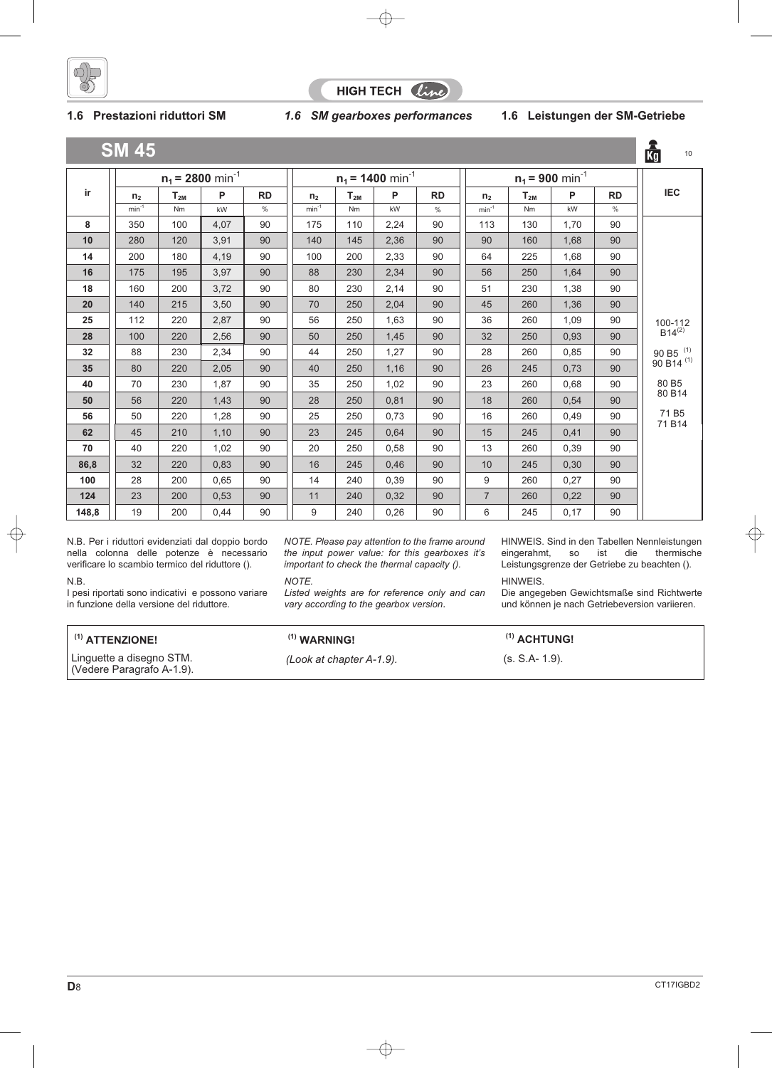

HIGH TECH Cline

**1.6 Prestazioni riduttori SM** *1.6 SM gearboxes performances* **1.6 Leistungen der SM-Getriebe**

|       | <b>SM 45</b>   |                                                                  |      |           |                |          |      |           |                |           |      |               | 。<br>【<br>10                    |
|-------|----------------|------------------------------------------------------------------|------|-----------|----------------|----------|------|-----------|----------------|-----------|------|---------------|---------------------------------|
|       |                | $n_1$ = 2800 min <sup>-1</sup><br>$n_1$ = 1400 min <sup>-1</sup> |      |           |                |          |      |           |                |           |      |               |                                 |
| ir    | n <sub>2</sub> | $T_{2M}$                                                         | P    | <b>RD</b> | n <sub>2</sub> | $T_{2M}$ | P    | <b>RD</b> | n <sub>2</sub> | $T_{2M}$  | P    | <b>RD</b>     | <b>IEC</b>                      |
|       | $min-1$        | Nm                                                               | kW   | $\%$      | $min^{-1}$     | Nm       | kW   | $\%$      | $min^{-1}$     | <b>Nm</b> | kW   | $\frac{0}{0}$ |                                 |
| 8     | 350            | 100                                                              | 4,07 | 90        | 175            | 110      | 2,24 | 90        | 113            | 130       | 1,70 | 90            |                                 |
| 10    | 280            | 120                                                              | 3,91 | 90        | 140            | 145      | 2,36 | 90        | 90             | 160       | 1,68 | 90            |                                 |
| 14    | 200            | 180                                                              | 4,19 | 90        | 100            | 200      | 2,33 | 90        | 64             | 225       | 1,68 | 90            |                                 |
| 16    | 175            | 195                                                              | 3,97 | 90        | 88             | 230      | 2,34 | 90        | 56             | 250       | 1,64 | 90            |                                 |
| 18    | 160            | 200                                                              | 3,72 | 90        | 80             | 230      | 2,14 | 90        | 51             | 230       | 1,38 | 90            |                                 |
| 20    | 140            | 215                                                              | 3,50 | 90        | 70             | 250      | 2,04 | 90        | 45             | 260       | 1,36 | 90            |                                 |
| 25    | 112            | 220                                                              | 2,87 | 90        | 56             | 250      | 1,63 | 90        | 36             | 260       | 1,09 | 90            |                                 |
| 28    | 100            | 220                                                              | 2,56 | 90        | 50             | 250      | 1,45 | 90        | 32             | 250       | 0,93 | 90            | $100-112$<br>B14 <sup>(2)</sup> |
| 32    | 88             | 230                                                              | 2,34 | 90        | 44             | 250      | 1,27 | 90        | 28             | 260       | 0,85 | 90            | 90 B5 $(1)$                     |
| 35    | 80             | 220                                                              | 2,05 | 90        | 40             | 250      | 1,16 | 90        | 26             | 245       | 0,73 | 90            | 90 B14 <sup>(1)</sup>           |
| 40    | 70             | 230                                                              | 1,87 | 90        | 35             | 250      | 1,02 | 90        | 23             | 260       | 0,68 | 90            | 80 B5                           |
| 50    | 56             | 220                                                              | 1,43 | 90        | 28             | 250      | 0,81 | 90        | 18             | 260       | 0,54 | 90            | 80 B14                          |
| 56    | 50             | 220                                                              | 1,28 | 90        | 25             | 250      | 0,73 | 90        | 16             | 260       | 0,49 | 90            | 71 B <sub>5</sub><br>71 B14     |
| 62    | 45             | 210                                                              | 1,10 | 90        | 23             | 245      | 0.64 | 90        | 15             | 245       | 0,41 | 90            |                                 |
| 70    | 40             | 220                                                              | 1,02 | 90        | 20             | 250      | 0,58 | 90        | 13             | 260       | 0,39 | 90            |                                 |
| 86,8  | 32             | 220                                                              | 0.83 | 90        | 16             | 245      | 0.46 | 90        | 10             | 245       | 0,30 | 90            |                                 |
| 100   | 28             | 200                                                              | 0,65 | 90        | 14             | 240      | 0,39 | 90        | 9              | 260       | 0,27 | 90            |                                 |
| 124   | 23             | 200                                                              | 0,53 | 90        | 11             | 240      | 0,32 | 90        | $\overline{7}$ | 260       | 0,22 | 90            |                                 |
| 148,8 | 19             | 200                                                              | 0,44 | 90        | 9              | 240      | 0,26 | 90        | 6              | 245       | 0,17 | 90            |                                 |

N.B. Per i riduttori evidenziati dal doppio bordo nella colonna delle potenze è necessario verificare lo scambio termico del riduttore ().

N.B.

I pesi riportati sono indicativi e possono variare in funzione della versione del riduttore.

## **(1) ATTENZIONE! (1) WARNING! (1) ACHTUNG!**

Linguette a disegno STM. (Vedere Paragrafo A-1.9).

*NOTE. Please pay attention to the frame around the input power value: for this gearboxes it's important to check the thermal capacity ().*

#### *NOTE.*

*Listed weights are for reference only and can vary according to the gearbox version.*

HINWEIS. Sind in den Tabellen Nennleistungen<br>
eingerahmt, so ist die thermische eingerahmt, so ist die Leistungsgrenze der Getriebe zu beachten ().

### HINWEIS.

Die angegeben Gewichtsmaße sind Richtwerte und können je nach Getriebeversion variieren.

*(Look at chapter A-1.9).* (s. S.A- 1.9).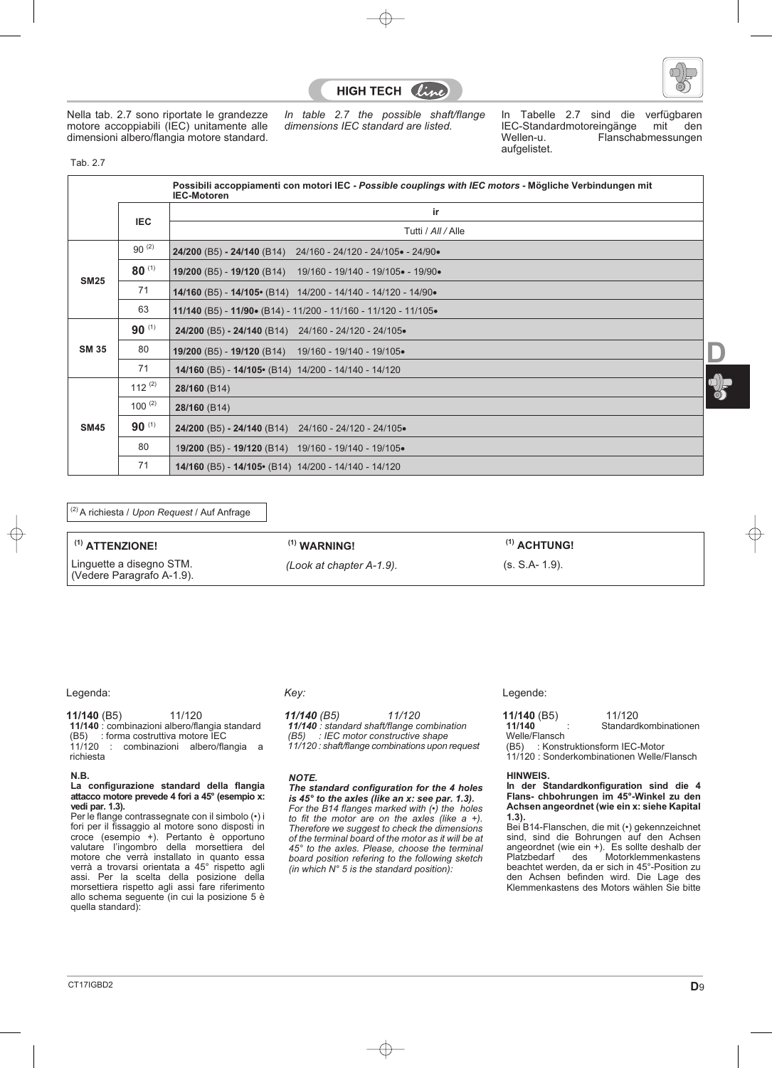



Nella tab. 2.7 sono riportate le grandezze motore accoppiabili (IEC) unitamente alle dimensioni albero/flangia motore standard. *In table 2.7 the possible shaft/flange dimensions IEC standard are listed.*

In Tabelle 2.7 sind die verfügbaren<br>IEC-Standardmotoreingänge mit den IEC-Standardmotoreingänge<br>Wellen-u. Flanscha Flanschabmessungen aufgelistet.

Tab. 2.7

|              |             | Possibili accoppiamenti con motori IEC - Possible couplings with IEC motors - Mögliche Verbindungen mit<br><b>IEC-Motoren</b> |
|--------------|-------------|-------------------------------------------------------------------------------------------------------------------------------|
|              |             | ir                                                                                                                            |
|              | <b>IEC</b>  | Tutti / All / Alle                                                                                                            |
|              | $90^{(2)}$  | 24/200 (B5) - 24/140 (B14)<br>24/160 - 24/120 - 24/105 - 24/90 -                                                              |
| <b>SM25</b>  | $80^{(1)}$  | 19/200 (B5) - 19/120 (B14)<br>19/160 - 19/140 - 19/105• - 19/90•                                                              |
|              | 71          | 14/160 (B5) - 14/105• (B14) 14/200 - 14/140 - 14/120 - 14/90•                                                                 |
|              | 63          | 11/140 (B5) - 11/90• (B14) - 11/200 - 11/160 - 11/120 - 11/105•                                                               |
|              | $90^{(1)}$  | 24/200 (B5) - 24/140 (B14) 24/160 - 24/120 - 24/105.                                                                          |
| <b>SM 35</b> | 80          | 19/200 (B5) - 19/120 (B14) 19/160 - 19/140 - 19/105.                                                                          |
|              | 71          | 14/160 (B5) - 14/105 • (B14) 14/200 - 14/140 - 14/120                                                                         |
|              | 112 $(2)$   | 28/160 (B14)                                                                                                                  |
|              | $100^{(2)}$ | 28/160 (B14)                                                                                                                  |
| <b>SM45</b>  | $90^{(1)}$  | 24/200 (B5) - 24/140 (B14) 24/160 - 24/120 - 24/105.                                                                          |
|              | 80          | 19/200 (B5) - 19/120 (B14) 19/160 - 19/140 - 19/105.                                                                          |
|              | 71          | 14/160 (B5) - 14/105• (B14) 14/200 - 14/140 - 14/120                                                                          |

(2) A richiesta / *Upon Request* / Auf Anfrage

| $(1)$ ATTENZIONE!                                     | $(1)$ WARNING!           | $(1)$ ACHTUNG! |
|-------------------------------------------------------|--------------------------|----------------|
| Linguette a disegno STM.<br>(Vedere Paragrafo A-1.9). | (Look at chapter A-1.9). | (s. S.A- 1.9). |

#### Legenda:

**11/140** (B5) 11/120 **11/140** : combinazioni albero/flangia standard<br>(B5) : forma costruttiva motore IEC (B5) : forma costruttiva motore IEC<br>11/120 : combinazioni albero/fla combinazioni albero/flangia a richiesta

#### **N.B.**

#### **La configurazione standard della flangia attacco motore prevede 4 fori a 45° (esempio x: vedi par. 1.3).**

Per le flange contrassegnate con il simbolo (•) i fori per il fissaggio al motore sono disposti in croce (esempio +). Pertanto è opportuno valutare l'ingombro della morsettiera del motore che verrà installato in quanto essa verrà a trovarsi orientata a 45° rispetto agli assi. Per la scelta della posizione della morsettiera rispetto agli assi fare riferimento allo schema seguente (in cui la posizione 5 è quella standard):

#### *Key:*

*11/140 (B5) 11/120 11/140 : standard shaft/flange combination (B5) : IEC motor constructive shape 11/120 : shaft/flange combinations upon request*

*NOTE.*

#### *The standard configuration for the 4 holes is 45° to the axles (like an x: see par. 1.3).*

*For the B14 flanges marked with (•) the holes to fit the motor are on the axles (like a +). Therefore we suggest to check the dimensions of the terminal board of the motor as it will be at 45° to the axles. Please, choose the terminal board position refering to the following sketch (in which N° 5 is the standard position):*

#### Legende:

| $11/140$ (B5) | 11/120                             |
|---------------|------------------------------------|
| 11/140        | Standardkombinationen              |
| Welle/Flansch |                                    |
|               | (B5) : Konstruktionsform IEC-Motor |
|               |                                    |

11/120 : Sonderkombinationen Welle/Flansch

#### **HINWEIS.**

**In der Standardkonfiguration sind die 4 Flans- chbohrungen im 45°-Winkel zu den Achsen angeordnet (wie ein x: siehe Kapital 1.3).**

Bei B14-Flanschen, die mit (•) gekennzeichnet sind, sind die Bohrungen auf den Achsen angeordnet (wie ein +). Es sollte deshalb der des Motorklemmenkastens beachtet werden, da er sich in 45°-Position zu den Achsen befinden wird. Die Lage des Klemmenkastens des Motors wählen Sie bitte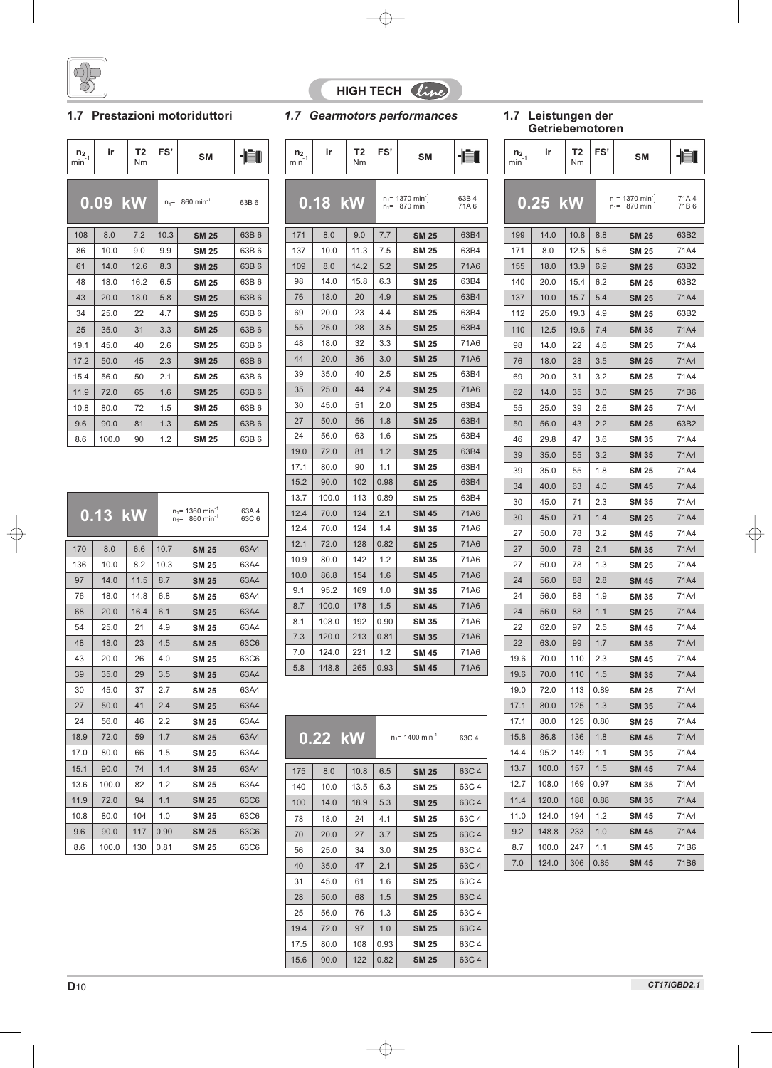

### **1.7 Prestazioni motoriduttori**

| $\frac{n_2}{\text{min}^{-1}}$ | ir      | T2<br>Nm | FS'  | <b>SM</b>                     |      |
|-------------------------------|---------|----------|------|-------------------------------|------|
|                               | 0.09 kW |          |      | $n_1 = 860$ min <sup>-1</sup> | 63B6 |
| 108                           | 8.0     | 7.2      | 10.3 | <b>SM 25</b>                  | 63B6 |
| 86                            | 10.0    | 9.0      | 9.9  | <b>SM 25</b>                  | 63B6 |
| 61                            | 14.0    | 12.6     | 8.3  | <b>SM 25</b>                  | 63B6 |
| 48                            | 18.0    | 16.2     | 6.5  | <b>SM 25</b>                  | 63B6 |
| 43                            | 20.0    | 18.0     | 5.8  | <b>SM 25</b>                  | 63B6 |
| 34                            | 25.0    | 22       | 4.7  | <b>SM 25</b>                  | 63B6 |
| 25                            | 35.0    | 31       | 3.3  | <b>SM 25</b>                  | 63B6 |
| 19.1                          | 45.0    | 40       | 2.6  | <b>SM 25</b>                  | 63B6 |
| 17.2                          | 50.0    | 45       | 2.3  | <b>SM 25</b>                  | 63B6 |
| 15.4                          | 56.0    | 50       | 2.1  | <b>SM 25</b>                  | 63B6 |
| 11.9                          | 72.0    | 65       | 1.6  | <b>SM 25</b>                  | 63B6 |
| 10.8                          | 80.0    | 72       | 1.5  | <b>SM 25</b>                  | 63B6 |
| 9.6                           | 90.0    | 81       | 1.3  | <b>SM 25</b>                  | 63B6 |
| 8.6                           | 100.0   | 90       | 1.2  | <b>SM 25</b>                  | 63B6 |

|      | 0.13 kW |      |      | $n_1$ = 1360 min <sup>-1</sup><br>$n_1 = 860$ min <sup>-1</sup> | 63A 4<br>63C6 |  |  |
|------|---------|------|------|-----------------------------------------------------------------|---------------|--|--|
| 170  | 8.0     | 6.6  | 10.7 | <b>SM 25</b>                                                    | 63A4          |  |  |
| 136  | 10.0    | 8.2  | 10.3 | <b>SM 25</b>                                                    | 63A4          |  |  |
| 97   | 14.0    | 11.5 | 8.7  | <b>SM 25</b>                                                    | 63A4          |  |  |
| 76   | 18.0    | 14.8 | 6.8  | <b>SM 25</b>                                                    | 63A4          |  |  |
| 68   | 20.0    | 16.4 | 6.1  | <b>SM 25</b>                                                    | 63A4          |  |  |
| 54   | 25.0    | 21   | 4.9  | <b>SM 25</b>                                                    | 63A4          |  |  |
| 48   | 18.0    | 23   | 4.5  | <b>SM 25</b>                                                    | 63C6          |  |  |
| 43   | 20.0    | 26   | 4.0  | <b>SM 25</b>                                                    | 63C6          |  |  |
| 39   | 35.0    | 29   | 3.5  | <b>SM 25</b>                                                    | 63A4          |  |  |
| 30   | 45.0    | 37   | 2.7  | <b>SM 25</b>                                                    | 63A4          |  |  |
| 27   | 50.0    | 41   | 2.4  | <b>SM 25</b>                                                    | 63A4          |  |  |
| 24   | 56.0    | 46   | 2.2  | <b>SM 25</b>                                                    | 63A4          |  |  |
| 18.9 | 72.0    | 59   | 1.7  | <b>SM 25</b>                                                    | 63A4          |  |  |
| 17.0 | 80.0    | 66   | 1.5  | <b>SM 25</b>                                                    | 63A4          |  |  |
| 15.1 | 90.0    | 74   | 1.4  | <b>SM 25</b>                                                    | 63A4          |  |  |
| 13.6 | 100.0   | 82   | 1.2  | <b>SM 25</b>                                                    | 63A4          |  |  |
| 11.9 | 72.0    | 94   | 1.1  | <b>SM 25</b>                                                    | 63C6          |  |  |
| 10.8 | 80.0    | 104  | 1.0  | <b>SM 25</b>                                                    | 63C6          |  |  |
| 9.6  | 90.0    | 117  | 0.90 | <b>SM 25</b>                                                    | 63C6          |  |  |
| 8.6  | 100.0   | 130  | 0.81 | <b>SM 25</b>                                                    | 63C6          |  |  |

# HIGH TECH Cine

## **1.7 Gearmotors performances**

| $n_{2_{.1}}$<br>min <sup>-</sup> | ir        | T <sub>2</sub><br>Nm | FS'  | <b>SM</b>                                                       |               | n <sub>2</sub><br>min |
|----------------------------------|-----------|----------------------|------|-----------------------------------------------------------------|---------------|-----------------------|
|                                  | $0.18$ kW |                      |      | $n_1$ = 1370 min <sup>-1</sup><br>$n_1 = 870$ min <sup>-1</sup> | 63B 4<br>71A6 | l                     |
| 171                              | 8.0       | 9.0                  | 7.7  | <b>SM 25</b>                                                    | 63B4          | 19                    |
| 137                              | 10.0      | 11.3                 | 7.5  | <b>SM 25</b>                                                    | 63B4          | 17 <sup>1</sup>       |
| 109                              | 8.0       | 14.2                 | 5.2  | <b>SM 25</b>                                                    | 71A6          | 155                   |
| 98                               | 14.0      | 15.8                 | 6.3  | <b>SM 25</b>                                                    | 63B4          | 14(                   |
| 76                               | 18.0      | 20                   | 4.9  | <b>SM 25</b>                                                    | 63B4          | 13 <sub>1</sub>       |
| 69                               | 20.0      | 23                   | 4.4  | <b>SM 25</b>                                                    | 63B4          | 112                   |
| 55                               | 25.0      | 28                   | 3.5  | <b>SM 25</b>                                                    | 63B4          | 11(                   |
| 48                               | 18.0      | 32                   | 3.3  | <b>SM 25</b>                                                    | 71A6          | 98                    |
| 44                               | 20.0      | 36                   | 3.0  | <b>SM 25</b>                                                    | 71A6          | 76                    |
| 39                               | 35.0      | 40                   | 2.5  | <b>SM 25</b>                                                    | 63B4          | 69                    |
| 35                               | 25.0      | 44                   | 2.4  | <b>SM 25</b>                                                    | 71A6          | 62                    |
| 30                               | 45.0      | 51                   | 2.0  | <b>SM 25</b>                                                    | 63B4          | 55                    |
| 27                               | 50.0      | 56                   | 1.8  | <b>SM 25</b>                                                    | 63B4          | 50                    |
| 24                               | 56.0      | 63                   | 1.6  | <b>SM 25</b>                                                    | 63B4          | 46                    |
| 19.0                             | 72.0      | 81                   | 1.2  | <b>SM 25</b>                                                    | 63B4          | 39                    |
| 17.1                             | 80.0      | 90                   | 1.1  | <b>SM 25</b>                                                    | 63B4          | 39                    |
| 15.2                             | 90.0      | 102                  | 0.98 | <b>SM 25</b>                                                    | 63B4          | 34                    |
| 13.7                             | 100.0     | 113                  | 0.89 | <b>SM 25</b>                                                    | 63B4          | 30                    |
| 12.4                             | 70.0      | 124                  | 2.1  | <b>SM 45</b>                                                    | 71A6          | 30                    |
| 12.4                             | 70.0      | 124                  | 1.4  | <b>SM 35</b>                                                    | 71A6          | 27                    |
| 12.1                             | 72.0      | 128                  | 0.82 | <b>SM 25</b>                                                    | 71A6          | 27                    |
| 10.9                             | 80.0      | 142                  | 1.2  | <b>SM 35</b>                                                    | 71A6          | 27                    |
| 10.0                             | 86.8      | 154                  | 1.6  | <b>SM 45</b>                                                    | 71A6          | 24                    |
| 9.1                              | 95.2      | 169                  | 1.0  | <b>SM 35</b>                                                    | 71A6          | 24                    |
| 8.7                              | 100.0     | 178                  | 1.5  | <b>SM 45</b>                                                    | 71A6          | 24                    |
| 8.1                              | 108.0     | 192                  | 0.90 | <b>SM 35</b>                                                    | 71A6          | 22                    |
| 7.3                              | 120.0     | 213                  | 0.81 | <b>SM 35</b>                                                    | 71A6          |                       |
| 7.0                              | 124.0     | 221                  | 1.2  | <b>SM 45</b>                                                    | 71A6          | 22                    |
| 5.8                              | 148.8     | 265                  | 0.93 | <b>SM 45</b>                                                    | 71A6          | 19.                   |
|                                  |           |                      |      |                                                                 |               | 19.                   |

|      | $0.22$ kW |      |      | $n_1$ = 1400 min <sup>-1</sup> | 63C 4 |
|------|-----------|------|------|--------------------------------|-------|
| 175  | 8.0       | 10.8 | 6.5  | <b>SM 25</b>                   | 63C 4 |
| 140  | 10.0      | 13.5 | 6.3  | <b>SM 25</b>                   | 63C 4 |
| 100  | 14.0      | 18.9 | 5.3  | <b>SM 25</b>                   | 63C 4 |
| 78   | 18.0      | 24   | 4.1  | <b>SM 25</b>                   | 63C 4 |
| 70   | 20.0      | 27   | 3.7  | <b>SM 25</b>                   | 63C 4 |
| 56   | 25.0      | 34   | 3.0  | <b>SM 25</b>                   | 63C 4 |
| 40   | 35.0      | 47   | 2.1  | <b>SM 25</b>                   | 63C 4 |
| 31   | 45.0      | 61   | 1.6  | <b>SM 25</b>                   | 63C 4 |
| 28   | 50.0      | 68   | 1.5  | <b>SM 25</b>                   | 63C 4 |
| 25   | 56.0      | 76   | 1.3  | SM 25                          | 63C 4 |
| 19.4 | 72.0      | 97   | 1.0  | <b>SM 25</b>                   | 63C 4 |
| 17.5 | 80.0      | 108  | 0.93 | <b>SM 25</b>                   | 63C 4 |
| 15.6 | 90.0      | 122  | 0.82 | <b>SM 25</b>                   | 63C 4 |

# **1.7 Leistungen der<br>Getriebemotoren**

|                     | <b>Getriepemotoren</b> |          |      |                                                                 |               |
|---------------------|------------------------|----------|------|-----------------------------------------------------------------|---------------|
| $n_{2_{.1}}$<br>min | ir                     | Т2<br>Nm | FS'  | SM                                                              | -191          |
|                     | 0.25 kW                |          |      | $n_1$ = 1370 min <sup>-1</sup><br>$n_1 = 870$ min <sup>-1</sup> | 71A 4<br>71B6 |
| 199                 | 14.0                   | 10.8     | 8.8  | <b>SM 25</b>                                                    | 63B2          |
| 171                 | 8.0                    | 12.5     | 5.6  | <b>SM 25</b>                                                    | 71A4          |
| 155                 | 18.0                   | 13.9     | 6.9  | <b>SM 25</b>                                                    | 63B2          |
| 140                 | 20.0                   | 15.4     | 6.2  | <b>SM 25</b>                                                    | 63B2          |
| 137                 | 10.0                   | 15.7     | 5.4  | <b>SM 25</b>                                                    | 71A4          |
| 112                 | 25.0                   | 19.3     | 4.9  | SM 25                                                           | 63B2          |
| 110                 | 12.5                   | 19.6     | 7.4  | <b>SM 35</b>                                                    | 71A4          |
| 98                  | 14.0                   | 22       | 4.6  | <b>SM 25</b>                                                    | 71A4          |
| 76                  | 18.0                   | 28       | 3.5  | <b>SM 25</b>                                                    | 71A4          |
| 69                  | 20.0                   | 31       | 3.2  | <b>SM 25</b>                                                    | 71A4          |
| 62                  | 14.0                   | 35       | 3.0  | SM 25                                                           | 71B6          |
| 55                  | 25.0                   | 39       | 2.6  | <b>SM 25</b>                                                    | 71A4          |
| 50                  | 56.0                   | 43       | 2.2  | <b>SM 25</b>                                                    | 63B2          |
| 46                  | 29.8                   | 47       | 3.6  | <b>SM 35</b>                                                    | 71A4          |
| 39                  | 35.0                   | 55       | 3.2  | <b>SM 35</b>                                                    | 71A4          |
| 39                  | 35.0                   | 55       | 1.8  | <b>SM 25</b>                                                    | 71A4          |
| 34                  | 40.0                   | 63       | 4.0  | SM 45                                                           | 71A4          |
| 30                  | 45.0                   | 71       | 2.3  | <b>SM 35</b>                                                    | 71A4          |
| 30                  | 45.0                   | 71       | 1.4  | SM 25                                                           | 71A4          |
| 27                  | 50.0                   | 78       | 3.2  | <b>SM 45</b>                                                    | 71A4          |
| 27                  | 50.0                   | 78       | 2.1  | SM 35                                                           | 71A4          |
| 27                  | 50.0                   | 78       | 1.3  | <b>SM 25</b>                                                    | 71A4          |
| 24                  | 56.0                   | 88       | 2.8  | <b>SM 45</b>                                                    | 71A4          |
| 24                  | 56.0                   | 88       | 1.9  | <b>SM 35</b>                                                    | 71A4          |
| 24                  | 56.0                   | 88       | 1.1  | SM 25                                                           | 71A4          |
| 22                  | 62.0                   | 97       | 2.5  | SM 45                                                           | 71A4          |
| 22                  | 63.0                   | 99       | 1.7  | <b>SM 35</b>                                                    | 71A4          |
| 19.6                | 70.0                   | 110      | 2.3  | SM 45                                                           | 71A4          |
| 19.6                | 70.0                   | 110      | 1.5  | <b>SM 35</b>                                                    | 71A4          |
| 19.0                | 72.0                   | 113      | 0.89 | <b>SM 25</b>                                                    | 71A4          |
| 17.1                | 80.0                   | 125      | 1.3  | SM 35                                                           | 71A4          |
| 17.1                | 80.0                   | 125      | 0.80 | <b>SM 25</b>                                                    | 71A4          |
| 15.8                | 86.8                   | 136      | 1.8  | <b>SM 45</b>                                                    | 71A4          |
| 14.4                | 95.2                   | 149      | 1.1  | SM 35                                                           | 71A4          |
| 13.7                | 100.0                  | 157      | 1.5  | <b>SM 45</b>                                                    | 71A4          |
| 12.7                | 108.0                  | 169      | 0.97 | SM 35                                                           | 71A4          |
| 11.4                | 120.0                  | 188      | 0.88 | <b>SM 35</b>                                                    | 71A4          |
| 11.0                | 124.0                  | 194      | 1.2  | SM 45                                                           | 71A4          |
| 9.2                 | 148.8                  | 233      | 1.0  | <b>SM 45</b>                                                    | 71A4          |
| 8.7                 | 100.0                  | 247      | 1.1  | SM 45                                                           | 71B6          |
| 7.0                 | 124.0                  | 306      | 0.85 | <b>SM 45</b>                                                    | 71B6          |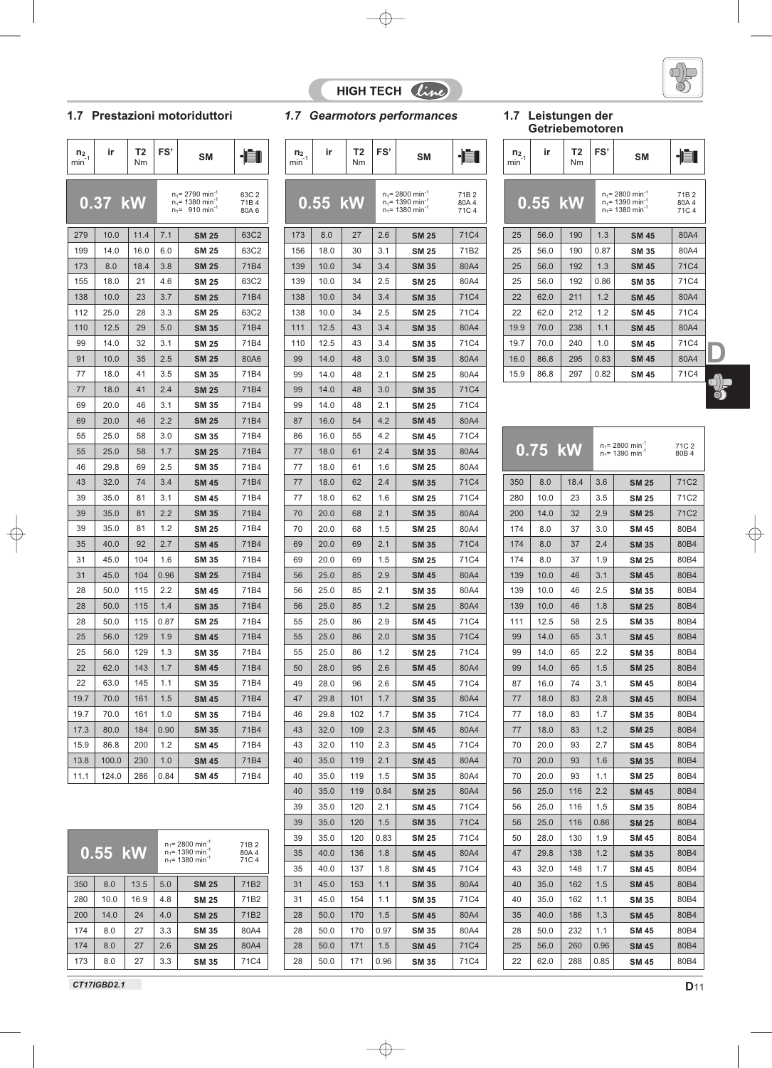



### **1.7 Prestazioni motoriduttori**

| $n_{2,1}$<br>min | ir      | Τ2<br>Nm | FS'  | SΜ                                                                                                |                       | n <sub>2</sub><br>min |
|------------------|---------|----------|------|---------------------------------------------------------------------------------------------------|-----------------------|-----------------------|
|                  |         |          |      |                                                                                                   |                       |                       |
|                  | 0.37 kW |          |      | $n_1$ = 2790 min <sup>-1</sup><br>$n_1$ = 1380 min <sup>-1</sup><br>$n_1$ = 910 min <sup>-1</sup> | 63C 2<br>71B4<br>80A6 | U                     |
| 279              | 10.0    | 11.4     | 7.1  | <b>SM 25</b>                                                                                      | 63C2                  | 173                   |
| 199              | 14.0    | 16.0     | 6.0  | <b>SM 25</b>                                                                                      | 63C2                  | 156                   |
| 173              | 8.0     | 18.4     | 3.8  | <b>SM 25</b>                                                                                      | 71B4                  | 139                   |
| 155              | 18.0    | 21       | 4.6  | <b>SM 25</b>                                                                                      | 63C2                  | 139                   |
| 138              | 10.0    | 23       | 3.7  | <b>SM 25</b>                                                                                      | 71B4                  | 138                   |
| 112              | 25.0    | 28       | 3.3  | <b>SM 25</b>                                                                                      | 63C2                  | 138                   |
| 110              | 12.5    | 29       | 5.0  | <b>SM 35</b>                                                                                      | 71B4                  | 111                   |
| 99               | 14.0    | 32       | 3.1  | <b>SM 25</b>                                                                                      | 71B4                  | 110                   |
| 91               | 10.0    | 35       | 2.5  | <b>SM 25</b>                                                                                      | 80A6                  | 99                    |
| 77               | 18.0    | 41       | 3.5  | <b>SM 35</b>                                                                                      | 71B4                  | 99                    |
| 77               | 18.0    | 41       | 2.4  | <b>SM 25</b>                                                                                      | 71B4                  | 99                    |
| 69               | 20.0    | 46       | 3.1  | <b>SM 35</b>                                                                                      | 71B4                  | 99                    |
| 69               | 20.0    | 46       | 2.2  | <b>SM 25</b>                                                                                      | 71B4                  | 87                    |
| 55               | 25.0    | 58       | 3.0  | <b>SM 35</b>                                                                                      | 71B4                  | 86                    |
| 55               | 25.0    | 58       | 1.7  | <b>SM 25</b>                                                                                      | 71B4                  | 77                    |
| 46               | 29.8    | 69       | 2.5  | <b>SM 35</b>                                                                                      | 71B4                  | 77                    |
| 43               | 32.0    | 74       | 3.4  | <b>SM 45</b>                                                                                      | 71B4                  | 77                    |
| 39               | 35.0    | 81       | 3.1  | <b>SM 45</b>                                                                                      | 71B4                  | 77                    |
| 39               | 35.0    | 81       | 2.2  | <b>SM 35</b>                                                                                      | 71B4                  | 70                    |
| 39               | 35.0    | 81       | 1.2  | <b>SM 25</b>                                                                                      | 71B4                  | 70                    |
| 35               | 40.0    | 92       | 2.7  | <b>SM 45</b>                                                                                      | 71B4                  | 69                    |
| 31               | 45.0    | 104      | 1.6  | <b>SM 35</b>                                                                                      | 71B4                  | 69                    |
| 31               | 45.0    | 104      | 0.96 | <b>SM 25</b>                                                                                      | 71B4                  | 56                    |
| 28               | 50.0    | 115      | 2.2  | <b>SM 45</b>                                                                                      | 71B4                  | 56                    |
| 28               | 50.0    | 115      | 1.4  | SM 35                                                                                             | 71B4                  | 56                    |
| 28               | 50.0    | 115      | 0.87 | <b>SM 25</b>                                                                                      | 71B4                  | 55                    |
| 25               | 56.0    | 129      | 1.9  | <b>SM 45</b>                                                                                      | 71B4                  | 55                    |
| 25               | 56.0    | 129      | 1.3  | <b>SM 35</b>                                                                                      | 71B4                  | 55                    |
| 22               | 62.0    | 143      | 1.7  | <b>SM 45</b>                                                                                      | 71B4                  | 50                    |
| 22               | 63.0    | 145      | 1.1  | <b>SM 35</b>                                                                                      | 71B4                  | 49                    |
| 19.7             | 70.0    | 161      | 1.5  | <b>SM 45</b>                                                                                      | 71B4                  | 47                    |
| 19.7             | 70.0    | 161      | 1.0  | <b>SM 35</b>                                                                                      | 71B4                  | 46                    |
| 17.3             | 80.0    | 184      | 0.90 | <b>SM 35</b>                                                                                      | 71B4                  | 43                    |
| 15.9             | 86.8    | 200      | 1.2  | <b>SM 45</b>                                                                                      | 71B4                  | 43                    |
| 13.8             | 100.0   | 230      | 1.0  | <b>SM 45</b>                                                                                      | 71B4                  | 40                    |
| 11.1             | 124.0   | 286      | 0.84 | <b>SM 45</b>                                                                                      | 71B4                  | 40                    |
|                  |         |          |      |                                                                                                   |                       |                       |

|     | $0.55$ kW |      |     | $n_1$ = 2800 min <sup>-1</sup><br>$n_1$ = 1390 min <sup>-1</sup><br>$n_1$ = 1380 min <sup>-1</sup> | 71B <sub>2</sub><br>80A4<br>71C4 |
|-----|-----------|------|-----|----------------------------------------------------------------------------------------------------|----------------------------------|
| 350 | 8.0       | 13.5 | 5.0 | <b>SM 25</b>                                                                                       | 71B <sub>2</sub>                 |
| 280 | 10.0      | 16.9 | 4.8 | <b>SM 25</b>                                                                                       | 71B <sub>2</sub>                 |
| 200 | 14.0      | 24   | 4.0 | <b>SM 25</b>                                                                                       | 71B <sub>2</sub>                 |
| 174 | 8.0       | 27   | 3.3 | <b>SM 35</b>                                                                                       | 80A4                             |
| 174 | 8.0       | 27   | 2.6 | <b>SM 25</b>                                                                                       | 80A4                             |
| 173 | 8.0       | 27   | 3.3 | <b>SM 35</b>                                                                                       | 71C4                             |

**1.7 Gearmotors performances** 

|                           | $n_{2,1}$<br>min | ir           | Т2<br>Nm   | FS'        | SM                                                                                                 |                                   |
|---------------------------|------------------|--------------|------------|------------|----------------------------------------------------------------------------------------------------|-----------------------------------|
| 63C 2<br>71B 4<br>80A 6   |                  | $0.55$ kW    |            |            | $n_1 = 2800$ min <sup>-1</sup><br>$n_1$ = 1390 min <sup>-1</sup><br>$n_1$ = 1380 min <sup>-1</sup> | 71B <sub>2</sub><br>80A4<br>71C 4 |
| 63C2                      | 173              | 8.0          | 27         | 2.6        | <b>SM 25</b>                                                                                       | 71C4                              |
| 63C2                      | 156              | 18.0         | 30         | 3.1        | <b>SM 25</b>                                                                                       | 71B2                              |
| 71B4                      | 139              | 10.0         | 34         | 3.4        | <b>SM 35</b>                                                                                       | 80A4                              |
| 63C2                      | 139              | 10.0         | 34         | 2.5        | <b>SM 25</b>                                                                                       | 80A4                              |
| 71B4                      | 138              | 10.0         | 34         | 3.4        | <b>SM 35</b>                                                                                       | 71C4                              |
| 63C2                      | 138              | 10.0         | 34         | 2.5        | <b>SM 25</b>                                                                                       | 71C4                              |
| 71B4                      | 111              | 12.5         | 43         | 3.4        | <b>SM 35</b>                                                                                       | 80A4                              |
| 71B4                      | 110              | 12.5         | 43         | 3.4        | <b>SM 35</b>                                                                                       | 71C4                              |
| 80A6                      | 99               | 14.0         | 48         | 3.0        | <b>SM 35</b>                                                                                       | 80A4                              |
| 71B4                      | 99               | 14.0         | 48         | 2.1        | <b>SM 25</b>                                                                                       | 80A4                              |
| 71B4                      | 99               | 14.0         | 48         | 3.0        | <b>SM 35</b>                                                                                       | 71C4                              |
| 71B4                      | 99               | 14.0         | 48         | 2.1        | <b>SM 25</b>                                                                                       | 71C4                              |
| 71B4                      | 87               | 16.0         | 54         | 4.2        | <b>SM 45</b>                                                                                       | 80A4                              |
| 71B4                      | 86               | 16.0         | 55         | 4.2        | <b>SM 45</b>                                                                                       | 71C4                              |
| 71B4                      | 77               | 18.0         | 61         | 2.4        | <b>SM 35</b>                                                                                       | 80A4                              |
| 71B4                      | 77               | 18.0         | 61         | 1.6        | <b>SM 25</b>                                                                                       | 80A4                              |
| 71B4                      | 77               | 18.0         | 62         | 2.4        | <b>SM 35</b>                                                                                       | 71C4                              |
| 71B4                      | 77               | 18.0         | 62         | 1.6        | <b>SM 25</b>                                                                                       | 71C4                              |
| 71B4                      | 70               | 20.0         | 68         | 2.1        | <b>SM 35</b>                                                                                       | 80A4                              |
| 71B4                      | 70               | 20.0         | 68         | 1.5        | <b>SM 25</b>                                                                                       | 80A4                              |
| 71B4                      | 69               | 20.0         | 69         | 2.1        | <b>SM 35</b>                                                                                       | 71C4                              |
| 71B4                      | 69               | 20.0         | 69         | 1.5        | <b>SM 25</b>                                                                                       | 71C4                              |
| 71B4                      | 56               | 25.0         | 85         | 2.9        | <b>SM 45</b>                                                                                       | 80A4                              |
| 71B4                      | 56               | 25.0         | 85         | 2.1        |                                                                                                    | 80A4                              |
|                           |                  |              |            |            | <b>SM 35</b>                                                                                       |                                   |
| 71B4                      | 56               | 25.0         | 85         | 1.2        | <b>SM 25</b>                                                                                       | 80A4<br>71C4                      |
| 71B4<br>71B4              | 55               | 25.0         | 86         | 2.9        | <b>SM 45</b>                                                                                       |                                   |
| 71B4                      | 55<br>55         | 25.0<br>25.0 | 86<br>86   | 2.0<br>1.2 | SM 35                                                                                              | 71C4<br>71C4                      |
|                           |                  |              |            | 2.6        | <b>SM 25</b>                                                                                       |                                   |
| 71B4                      | 50               | 28.0         | 95         |            | <b>SM 45</b>                                                                                       | 80A4                              |
| 71B4                      | 49               | 28.0         | 96         | 2.6        | <b>SM 45</b>                                                                                       | 71C4                              |
| 71B4<br>71B4              | 47               | 29.8         | 101        | 1.7        | <b>SM 35</b>                                                                                       | 80A4                              |
| 71B4                      | 46<br>43         | 29.8         | 102<br>109 | 1.7        | <b>SM 35</b>                                                                                       | 71C4                              |
| 71B4                      | 43               | 32.0         |            | 2.3<br>2.3 | <b>SM 45</b>                                                                                       | 80A4<br>71C4                      |
| 71B4                      | 40               | 32.0<br>35.0 | 110<br>119 | 2.1        | <b>SM 45</b>                                                                                       | 80A4                              |
| 71B4                      | 40               | 35.0         | 119        | 1.5        | <b>SM 45</b><br><b>SM 35</b>                                                                       | 80A4                              |
|                           | 40               |              |            |            |                                                                                                    | 80A4                              |
|                           | 39               | 35.0         | 119        | 0.84       | <b>SM 25</b>                                                                                       | 71C4                              |
|                           | 39               | 35.0         | 120        | 2.1        | <b>SM 45</b>                                                                                       |                                   |
|                           | 39               | 35.0         | 120<br>120 | 1.5        | <b>SM 35</b>                                                                                       | 71C4<br>71C4                      |
| 71B <sub>2</sub><br>80A 4 |                  | 35.0         |            | 0.83       | <b>SM 25</b>                                                                                       |                                   |
| 71C 4                     | 35               | 40.0         | 136        | 1.8        | <b>SM 45</b>                                                                                       | 80A4                              |
|                           | 35               | 40.0         | 137        | 1.8        | <b>SM 45</b>                                                                                       | 71C4                              |
| 71B2                      | 31               | 45.0         | 153        | 1.1        | <b>SM 35</b>                                                                                       | 80A4                              |
| 71B2                      | 31               | 45.0         | 154        | 1.1        | <b>SM 35</b>                                                                                       | 71C4                              |
| 71B <sub>2</sub>          | 28               | 50.0         | 170        | 1.5        | <b>SM 45</b>                                                                                       | 80A4                              |
| 80A4                      | 28               | 50.0         | 170        | 0.97       | <b>SM 35</b>                                                                                       | 80A4                              |
| 80A4                      | 28               | 50.0         | 171        | 1.5        | <b>SM 45</b>                                                                                       | 71C4                              |
| 71C4                      | 28               | 50.0         | 171        | 0.96       | SM 35                                                                                              | 71C4                              |

# 1.7 Leistungen der<br>Getriebemotoren

| $n_{2}$ <sub>1</sub><br>min | ir                             | T2<br>Nm | FS'  | <b>SM</b>                                                                                          |                                   |
|-----------------------------|--------------------------------|----------|------|----------------------------------------------------------------------------------------------------|-----------------------------------|
|                             | $0.55$ $\overline{\text{ kW}}$ |          |      | $n_1$ = 2800 min <sup>-1</sup><br>$n_1$ = 1390 min <sup>-1</sup><br>$n_1$ = 1380 min <sup>-1</sup> | 71B <sub>2</sub><br>80A 4<br>71C4 |
| 25                          | 56.0                           | 190      | 1.3  | <b>SM 45</b>                                                                                       | 80A4                              |
| 25                          | 56.0                           | 190      | 0.87 | <b>SM 35</b>                                                                                       | 80A4                              |
| 25                          | 56.0                           | 192      | 1.3  | <b>SM 45</b>                                                                                       | <b>71C4</b>                       |
| 25                          | 56.0                           | 192      | 0.86 | <b>SM 35</b>                                                                                       | 71C4                              |
| 22                          | 62.0                           | 211      | 1.2  | <b>SM 45</b>                                                                                       | 80A4                              |
| 22                          | 62.0                           | 212      | 1.2  | <b>SM 45</b>                                                                                       | 71C4                              |
| 19.9                        | 70.0                           | 238      | 1.1  | <b>SM 45</b>                                                                                       | 80A4                              |
| 19.7                        | 70.0                           | 240      | 1.0  | <b>SM 45</b>                                                                                       | 71C4                              |
| 16.0                        | 86.8                           | 295      | 0.83 | <b>SM 45</b>                                                                                       | 80A4                              |
| 15.9                        | 86.8                           | 297      | 0.82 | <b>SM 45</b>                                                                                       | 71C4                              |

|     | 0.75 kW |      |      | $n_1$ = 2800 min <sup>-1</sup><br>$n_1$ = 1390 min <sup>-1</sup> | 71C <sub>2</sub><br>80B 4 |
|-----|---------|------|------|------------------------------------------------------------------|---------------------------|
| 350 | 8.0     | 18.4 | 3.6  | <b>SM 25</b>                                                     | 71C2                      |
| 280 | 10.0    | 23   | 3.5  | <b>SM 25</b>                                                     | 71C2                      |
| 200 | 14.0    | 32   | 2.9  | <b>SM 25</b>                                                     | 71C2                      |
| 174 | 8.0     | 37   | 3.0  | <b>SM 45</b>                                                     | 80B4                      |
| 174 | 8.0     | 37   | 2.4  | <b>SM 35</b>                                                     | 80B4                      |
| 174 | 8.0     | 37   | 1.9  | <b>SM 25</b>                                                     | 80B4                      |
| 139 | 10.0    | 46   | 3.1  | <b>SM 45</b>                                                     | 80B4                      |
| 139 | 10.0    | 46   | 2.5  | <b>SM 35</b>                                                     | 80B4                      |
| 139 | 10.0    | 46   | 1.8  | <b>SM 25</b>                                                     | 80B4                      |
| 111 | 12.5    | 58   | 2.5  | <b>SM 35</b>                                                     | 80B4                      |
| 99  | 14.0    | 65   | 3.1  | SM 45                                                            | 80B4                      |
| 99  | 14.0    | 65   | 2.2  | <b>SM 35</b>                                                     | 80B4                      |
| 99  | 14.0    | 65   | 1.5  | <b>SM 25</b>                                                     | 80B4                      |
| 87  | 16.0    | 74   | 3.1  | <b>SM 45</b>                                                     | 80B4                      |
| 77  | 18.0    | 83   | 2.8  | <b>SM 45</b>                                                     | 80B4                      |
| 77  | 18.0    | 83   | 1.7  | <b>SM 35</b>                                                     | 80B4                      |
| 77  | 18.0    | 83   | 1.2  | <b>SM 25</b>                                                     | 80B4                      |
| 70  | 20.0    | 93   | 2.7  | <b>SM 45</b>                                                     | 80B4                      |
| 70  | 20.0    | 93   | 1.6  | <b>SM 35</b>                                                     | 80B4                      |
| 70  | 20.0    | 93   | 1.1  | <b>SM 25</b>                                                     | 80B4                      |
| 56  | 25.0    | 116  | 2.2  | <b>SM 45</b>                                                     | 80B4                      |
| 56  | 25.0    | 116  | 1.5  | <b>SM 35</b>                                                     | 80B4                      |
| 56  | 25.0    | 116  | 0.86 | <b>SM 25</b>                                                     | 80B4                      |
| 50  | 28.0    | 130  | 1.9  | <b>SM 45</b>                                                     | 80B4                      |
| 47  | 29.8    | 138  | 1.2  | <b>SM 35</b>                                                     | 80B4                      |
| 43  | 32.0    | 148  | 1.7  | <b>SM 45</b>                                                     | 80B4                      |
| 40  | 35.0    | 162  | 1.5  | <b>SM 45</b>                                                     | 80B4                      |
| 40  | 35.0    | 162  | 1.1  | <b>SM 35</b>                                                     | 80B4                      |
| 35  | 40.0    | 186  | 1.3  | <b>SM 45</b>                                                     | 80B4                      |
| 28  | 50.0    | 232  | 1.1  | <b>SM 45</b>                                                     | 80B4                      |
| 25  | 56.0    | 260  | 0.96 | SM 45                                                            | 80B4                      |
| 22  | 62.0    | 288  | 0.85 | <b>SM 45</b>                                                     | 80B4                      |

*CT17IGBD2.1*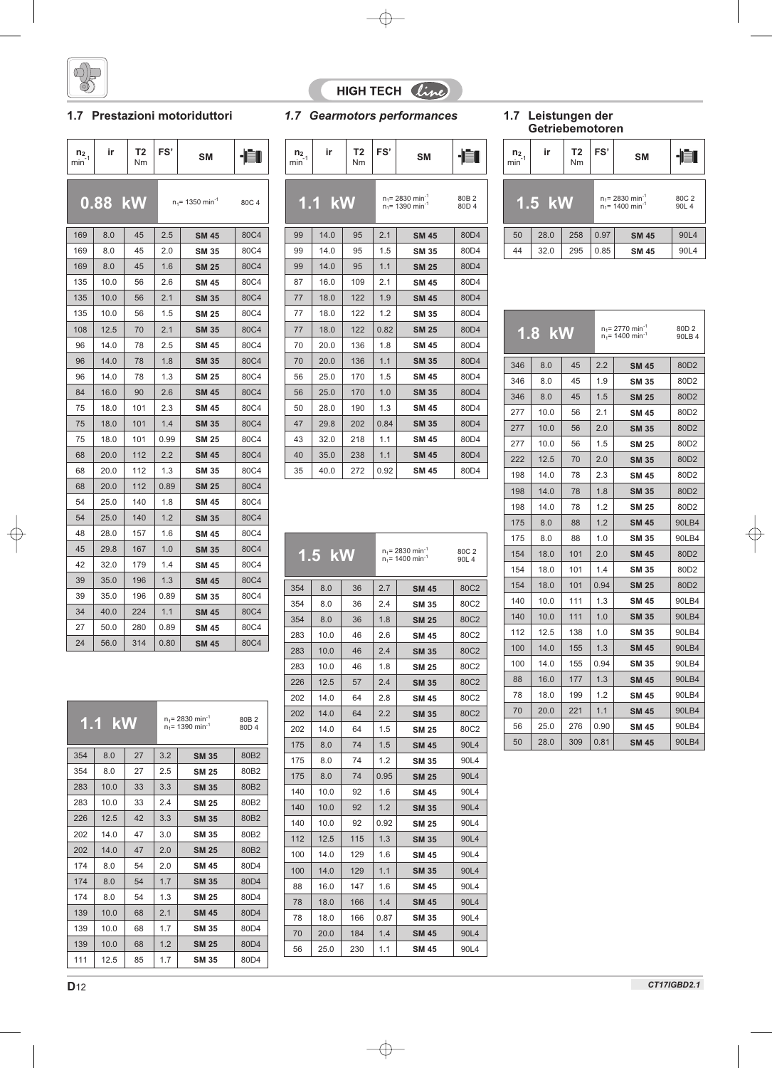

### **1.7 Prestazioni motoriduttori**

| $n_{2,1}$<br>min | ir        | Τ2<br>Nm | FS'  | SΜ                             |       | n <sub>2</sub><br>min |
|------------------|-----------|----------|------|--------------------------------|-------|-----------------------|
|                  | $0.88$ kW |          |      | $n_1$ = 1350 min <sup>-1</sup> | 80C 4 |                       |
| 169              | 8.0       | 45       | 2.5  | <b>SM 45</b>                   | 80C4  | 99                    |
| 169              | 8.0       | 45       | 2.0  | <b>SM 35</b>                   | 80C4  | 99                    |
| 169              | 8.0       | 45       | 1.6  | <b>SM 25</b>                   | 80C4  | 99                    |
| 135              | 10.0      | 56       | 2.6  | <b>SM 45</b>                   | 80C4  | 87                    |
| 135              | 10.0      | 56       | 2.1  | <b>SM 35</b>                   | 80C4  | 77                    |
| 135              | 10.0      | 56       | 1.5  | <b>SM 25</b>                   | 80C4  | 77                    |
| 108              | 12.5      | 70       | 2.1  | <b>SM 35</b>                   | 80C4  | 77                    |
| 96               | 14.0      | 78       | 2.5  | <b>SM 45</b>                   | 80C4  | 70                    |
| 96               | 14.0      | 78       | 1.8  | <b>SM 35</b>                   | 80C4  | 70                    |
| 96               | 14.0      | 78       | 1.3  | <b>SM 25</b>                   | 80C4  | 56                    |
| 84               | 16.0      | 90       | 2.6  | <b>SM 45</b>                   | 80C4  | 56                    |
| 75               | 18.0      | 101      | 2.3  | <b>SM 45</b>                   | 80C4  | 50                    |
| 75               | 18.0      | 101      | 1.4  | <b>SM 35</b>                   | 80C4  | 47                    |
| 75               | 18.0      | 101      | 0.99 | <b>SM 25</b>                   | 80C4  | 43                    |
| 68               | 20.0      | 112      | 2.2  | <b>SM 45</b>                   | 80C4  | 40                    |
| 68               | 20.0      | 112      | 1.3  | <b>SM 35</b>                   | 80C4  | 35                    |
| 68               | 20.0      | 112      | 0.89 | <b>SM 25</b>                   | 80C4  |                       |
| 54               | 25.0      | 140      | 1.8  | <b>SM 45</b>                   | 80C4  |                       |
| 54               | 25.0      | 140      | 1.2  | <b>SM 35</b>                   | 80C4  |                       |
| 48               | 28.0      | 157      | 1.6  | <b>SM 45</b>                   | 80C4  |                       |
| 45               | 29.8      | 167      | 1.0  | <b>SM 35</b>                   | 80C4  |                       |
| 42               | 32.0      | 179      | 1.4  | <b>SM 45</b>                   | 80C4  |                       |
| 39               | 35.0      | 196      | 1.3  | <b>SM 45</b>                   | 80C4  |                       |
| 39               | 35.0      | 196      | 0.89 | <b>SM 35</b>                   | 80C4  | 354                   |
| 34               | 40.0      | 224      | 1.1  | <b>SM 45</b>                   | 80C4  | 354                   |
| 27               | 50.0      | 280      | 0.89 | <b>SM 45</b>                   | 80C4  | 354                   |
| 24               | 56.0      | 314      | 0.80 | <b>SM 45</b>                   | 80C4  | 283<br>າວເ            |
|                  |           |          |      |                                |       |                       |

| $\frac{n_2}{\text{min}^{-1}}$ | ir       | T <sub>2</sub><br>Nm | FS'  | <b>SM</b>                                                        |                           | n <sub>2</sub><br>min |
|-------------------------------|----------|----------------------|------|------------------------------------------------------------------|---------------------------|-----------------------|
|                               | $1.1$ kW |                      |      | $n_1$ = 2830 min <sup>-1</sup><br>$n_1$ = 1390 min <sup>-1</sup> | 80B <sub>2</sub><br>80D 4 |                       |
| 99                            | 14.0     | 95                   | 2.1  | <b>SM 45</b>                                                     | 80D4                      | 5 <sub>C</sub>        |
| 99                            | 14.0     | 95                   | 1.5  | <b>SM 35</b>                                                     | 80D4                      | 44                    |
| 99                            | 14.0     | 95                   | 1.1  | <b>SM 25</b>                                                     | 80D4                      |                       |
| 87                            | 16.0     | 109                  | 2.1  | <b>SM 45</b>                                                     | 80 <sub>D</sub> 4         |                       |
| 77                            | 18.0     | 122                  | 1.9  | <b>SM 45</b>                                                     | 80D4                      |                       |
| 77                            | 18.0     | 122                  | 1.2  | <b>SM 35</b>                                                     | 80D4                      |                       |
| 77                            | 18.0     | 122                  | 0.82 | <b>SM 25</b>                                                     | 80D4                      |                       |
| 70                            | 20.0     | 136                  | 1.8  | <b>SM 45</b>                                                     | 80D4                      |                       |
| 70                            | 20.0     | 136                  | 1.1  | <b>SM 35</b>                                                     | 80D4                      | 34                    |
| 56                            | 25.0     | 170                  | 1.5  | <b>SM 45</b>                                                     | 80D4                      | 34                    |
| 56                            | 25.0     | 170                  | 1.0  | <b>SM 35</b>                                                     | 80D4                      | 34                    |
| 50                            | 28.0     | 190                  | 1.3  | <b>SM 45</b>                                                     | 80D4                      | 27                    |
| 47                            | 29.8     | 202                  | 0.84 | <b>SM 35</b>                                                     | 80D4                      | 27                    |
| 43                            | 32.0     | 218                  | 1.1  | <b>SM 45</b>                                                     | 80D4                      | 27                    |
| 40                            | 35.0     | 238                  | 1.1  | <b>SM 45</b>                                                     | 80D4                      | 22 <sub>2</sub>       |
| 35                            | 40.0     | 272                  | 0.92 | <b>SM 45</b>                                                     | 80D4                      | 10                    |

HIGH TECH Cine

|     | 1.5 kW |     |      | $n_1$ = 2830 min <sup>-1</sup><br>$n_1$ = 1400 min <sup>-1</sup> | 80C 2<br>90L 4 |
|-----|--------|-----|------|------------------------------------------------------------------|----------------|
| 354 | 8.0    | 36  | 2.7  | <b>SM 45</b>                                                     | 80C2           |
| 354 | 8.0    | 36  | 2.4  | <b>SM 35</b>                                                     | 80C2           |
| 354 | 8.0    | 36  | 1.8  | <b>SM 25</b>                                                     | 80C2           |
| 283 | 10.0   | 46  | 2.6  | <b>SM 45</b>                                                     | 80C2           |
| 283 | 10.0   | 46  | 2.4  | <b>SM 35</b>                                                     | 80C2           |
| 283 | 10.0   | 46  | 1.8  | <b>SM 25</b>                                                     | 80C2           |
| 226 | 12.5   | 57  | 2.4  | <b>SM 35</b>                                                     | 80C2           |
| 202 | 14.0   | 64  | 2.8  | <b>SM 45</b>                                                     | 80C2           |
| 202 | 14.0   | 64  | 2.2  | <b>SM 35</b>                                                     | 80C2           |
| 202 | 14.0   | 64  | 1.5  | SM 25                                                            | 80C2           |
| 175 | 8.0    | 74  | 1.5  | <b>SM 45</b>                                                     | 90L4           |
| 175 | 8.0    | 74  | 1.2  | <b>SM 35</b>                                                     | 90L4           |
| 175 | 8.0    | 74  | 0.95 | <b>SM 25</b>                                                     | 90L4           |
| 140 | 10.0   | 92  | 1.6  | <b>SM 45</b>                                                     | 90L4           |
| 140 | 10.0   | 92  | 1.2  | <b>SM 35</b>                                                     | 90L4           |
| 140 | 10.0   | 92  | 0.92 | <b>SM 25</b>                                                     | 90L4           |
| 112 | 12.5   | 115 | 1.3  | <b>SM 35</b>                                                     | 90L4           |
| 100 | 14.0   | 129 | 1.6  | <b>SM 45</b>                                                     | 90L4           |
| 100 | 14.0   | 129 | 1.1  | <b>SM 35</b>                                                     | 90L4           |
| 88  | 16.0   | 147 | 1.6  | <b>SM 45</b>                                                     | 90L4           |
| 78  | 18.0   | 166 | 1.4  | SM 45                                                            | 90L4           |
| 78  | 18.0   | 166 | 0.87 | <b>SM 35</b>                                                     | 90L4           |
| 70  | 20.0   | 184 | 1.4  | <b>SM 45</b>                                                     | 90L4           |
| 56  | 25.0   | 230 | 1.1  | <b>SM 45</b>                                                     | 90L4           |

#### *1.7 Gearmotors performances* **1.7 Leistungen der Getriebemotoren**

| n <sub>2</sub><br>$min-1$ | FS'<br>T <sub>2</sub><br>ir<br><b>SM</b><br>Nm |             |      |                                                                  |                |  |  |  |  |
|---------------------------|------------------------------------------------|-------------|------|------------------------------------------------------------------|----------------|--|--|--|--|
|                           | $1.5$ kW                                       |             |      | $n_1$ = 2830 min <sup>-1</sup><br>$n_1$ = 1400 min <sup>-1</sup> | 80C 2<br>90L 4 |  |  |  |  |
| 50                        | 28.0                                           | 258<br>0.97 |      | <b>SM 45</b>                                                     | 90L4           |  |  |  |  |
| 44                        | 32.0                                           | 295         | 0.85 | <b>SM 45</b>                                                     | 90L4           |  |  |  |  |

|     | 1.8 kW |     |      | $n_1$ = 2770 min <sup>-1</sup><br>80D <sub>2</sub><br>$n_1$ = 1400 min <sup>-1</sup><br>90LB 4 |                  |  |
|-----|--------|-----|------|------------------------------------------------------------------------------------------------|------------------|--|
| 346 | 8.0    | 45  | 2.2  | <b>SM 45</b>                                                                                   | 80D <sub>2</sub> |  |
| 346 | 8.0    | 45  | 1.9  | <b>SM 35</b>                                                                                   | 80D2             |  |
| 346 | 8.0    | 45  | 1.5  | <b>SM 25</b>                                                                                   | 80D <sub>2</sub> |  |
| 277 | 10.0   | 56  | 2.1  | <b>SM 45</b>                                                                                   | 80D2             |  |
| 277 | 10.0   | 56  | 2.0  | <b>SM 35</b>                                                                                   | 80D <sub>2</sub> |  |
| 277 | 10.0   | 56  | 1.5  | <b>SM 25</b>                                                                                   | 80D2             |  |
| 222 | 12.5   | 70  | 2.0  | <b>SM 35</b>                                                                                   | 80D <sub>2</sub> |  |
| 198 | 14.0   | 78  | 2.3  | <b>SM 45</b>                                                                                   | 80D2             |  |
| 198 | 14.0   | 78  | 1.8  | <b>SM 35</b>                                                                                   | 80D <sub>2</sub> |  |
| 198 | 14.0   | 78  | 1.2  | <b>SM 25</b>                                                                                   | 80D2             |  |
| 175 | 8.0    | 88  | 1.2  | <b>SM 45</b>                                                                                   | 90LB4            |  |
| 175 | 8.0    | 88  | 1.0  | <b>SM 35</b>                                                                                   | 90LB4            |  |
| 154 | 18.0   | 101 | 2.0  | <b>SM 45</b>                                                                                   | 80D2             |  |
| 154 | 18.0   | 101 | 1.4  | <b>SM 35</b>                                                                                   | 80D2             |  |
| 154 | 18.0   | 101 | 0.94 | <b>SM 25</b>                                                                                   | 80D <sub>2</sub> |  |
| 140 | 10.0   | 111 | 1.3  | <b>SM 45</b>                                                                                   | 90LB4            |  |
| 140 | 10.0   | 111 | 1.0  | <b>SM 35</b>                                                                                   | 90LB4            |  |
| 112 | 12.5   | 138 | 1.0  | <b>SM 35</b>                                                                                   | 90LB4            |  |
| 100 | 14.0   | 155 | 1.3  | <b>SM 45</b>                                                                                   | 90LB4            |  |
| 100 | 14.0   | 155 | 0.94 | <b>SM 35</b>                                                                                   | 90LB4            |  |
| 88  | 16.0   | 177 | 1.3  | <b>SM 45</b>                                                                                   | 90LB4            |  |
| 78  | 18.0   | 199 | 1.2  | <b>SM 45</b>                                                                                   | 90LB4            |  |
| 70  | 20.0   | 221 | 1.1  | <b>SM 45</b>                                                                                   | 90LB4            |  |
| 56  | 25.0   | 276 | 0.90 | <b>SM 45</b>                                                                                   | 90LB4            |  |
| 50  | 28.0   | 309 | 0.81 | <b>SM 45</b>                                                                                   | 90LB4            |  |

**1.1 kW** 

 $n_1$ = 2830 min<sup>-1</sup><br>n<sub>1</sub>= 1390 min<sup>-1</sup>

354 | 8.0 | 27 | 3.2 | **SM 35** | 80B2 354 8.0 27 2.5 **SM 25** 80B2  $283 | 10.0 | 33 | 3.3 | 5M 35 | 80B2$ 283 | 10.0 | 33 | 2.4 | **SM 25** | 80B2  $226$  | 12.5 | 42 | 3.3 | **SM 35** | 80B2 202 14.0 47 3.0 **SM 35** 80B2 202 | 14.0 | 47 | 2.0 | **SM 25** | 80B2 174 8.0 54 2.0 **SM 45** 80D4 174 8.0 54 1.7 **SM 35** 80D4 174 | 8.0 | 54 | 1.3 | **SM 25** | 80D4 139 | 10.0 | 68 | 2.1 | **SM 45** | 80D4 139 | 10.0 | 68 | 1.7 | **SM 35** | 80D4 139 | 10.0 | 68 | 1.2 | **SM 25** | 80D4 111 | 12.5 | 85 | 1.7 | **SM 35** | 80D4

80B 2<br>80D 4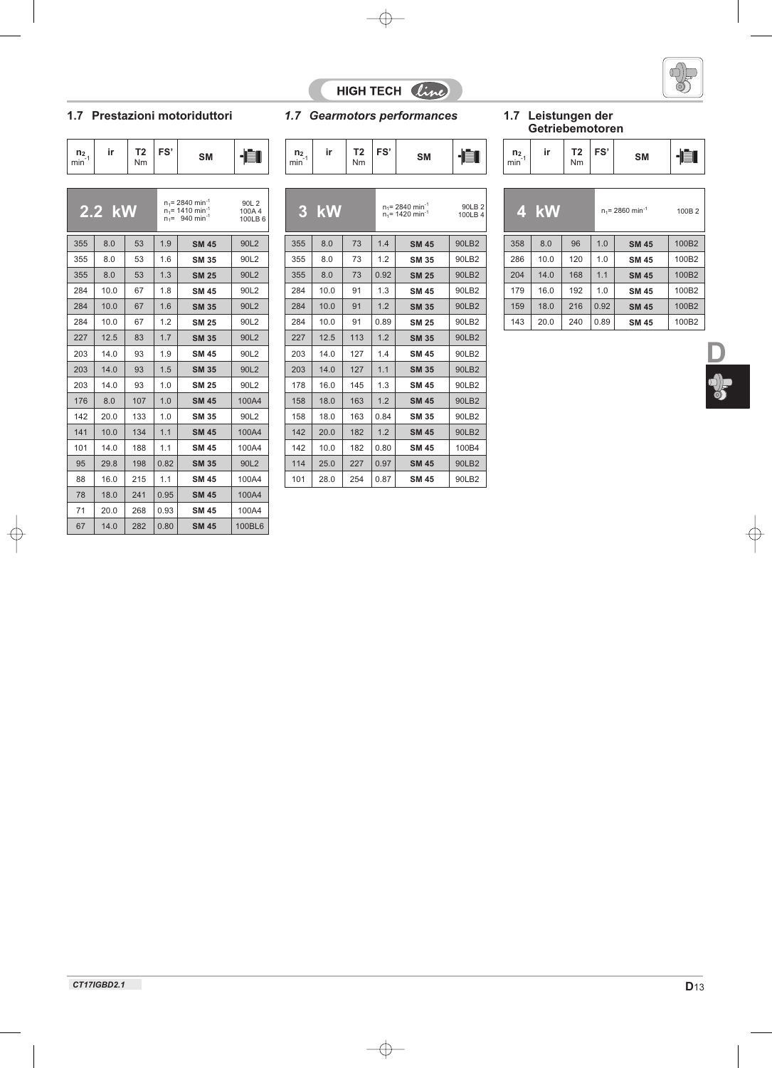

 $\frac{1}{3}$ 

# HIGH TECH *line*

### **1.7 Prestazioni motoriduttori**

| $\frac{n_2}{\text{min}^1}$ | ir | <b>T2</b><br>Nm | FS' | <b>SM</b> |  | n <sub>2</sub><br>min |
|----------------------------|----|-----------------|-----|-----------|--|-----------------------|
|                            |    |                 |     |           |  |                       |

|     | 2.2 kW |     |      | $n_1$ = 2840 min <sup>-1</sup><br>$n_1$ = 1410 min <sup>-1</sup><br>$n_1 = 940$ min <sup>-1</sup> | 90L 2<br>100A4<br>100LB 6 |
|-----|--------|-----|------|---------------------------------------------------------------------------------------------------|---------------------------|
| 355 | 8.0    | 53  | 1.9  | <b>SM 45</b>                                                                                      | 90L2                      |
| 355 | 8.0    | 53  | 1.6  | <b>SM 35</b>                                                                                      | 90L2                      |
| 355 | 8.0    | 53  | 1.3  | <b>SM 25</b>                                                                                      | 90L2                      |
| 284 | 10.0   | 67  | 1.8  | <b>SM 45</b>                                                                                      | 90L2                      |
| 284 | 10.0   | 67  | 1.6  | <b>SM 35</b>                                                                                      | 90L2                      |
| 284 | 10.0   | 67  | 1.2  | <b>SM 25</b>                                                                                      | 90L2                      |
| 227 | 12.5   | 83  | 1.7  | <b>SM 35</b>                                                                                      | 90L2                      |
| 203 | 14.0   | 93  | 1.9  | <b>SM 45</b>                                                                                      | 90L2                      |
| 203 | 14.0   | 93  | 1.5  | <b>SM 35</b>                                                                                      | 90L2                      |
| 203 | 14.0   | 93  | 1.0  | <b>SM 25</b>                                                                                      | 90L2                      |
| 176 | 8.0    | 107 | 1.0  | <b>SM 45</b>                                                                                      | 100A4                     |
| 142 | 20.0   | 133 | 1.0  | <b>SM 35</b>                                                                                      | 90L2                      |
| 141 | 10.0   | 134 | 1.1  | <b>SM 45</b>                                                                                      | 100A4                     |
| 101 | 14.0   | 188 | 1.1  | <b>SM 45</b>                                                                                      | 100A4                     |
| 95  | 29.8   | 198 | 0.82 | <b>SM 35</b>                                                                                      | 90L2                      |
| 88  | 16.0   | 215 | 1.1  | <b>SM 45</b>                                                                                      | 100A4                     |
| 78  | 18.0   | 241 | 0.95 | <b>SM 45</b>                                                                                      | 100A4                     |
| 71  | 20.0   | 268 | 0.93 | <b>SM 45</b>                                                                                      | 100A4                     |
| 67  | 14.0   | 282 | 0.80 | <b>SM 45</b>                                                                                      | 100BL6                    |

|  |  | 1.7 Gearmotors performances |  | 1.7 Leistungen der |  |
|--|--|-----------------------------|--|--------------------|--|
|--|--|-----------------------------|--|--------------------|--|

| $\frac{n_2}{\text{min}}$ | ir | T2<br>Nm | FS' | <b>SM</b> |  | n <sub>2</sub><br>min |
|--------------------------|----|----------|-----|-----------|--|-----------------------|
|                          |    |          |     |           |  |                       |

|     | 3 kW            |     |      | $n_1$ = 2840 min <sup>-1</sup><br>$n_1$ = 1420 min <sup>-1</sup> | 90LB 2<br>100LB 4 |
|-----|-----------------|-----|------|------------------------------------------------------------------|-------------------|
| 355 | 8.0             | 73  | 1.4  | <b>SM 45</b>                                                     | 90LB2             |
| 355 | 8.0             | 73  | 1.2  | SM 35                                                            | 90LB2             |
| 355 | 8 <sub>0</sub>  | 73  | O 92 | <b>SM 25</b>                                                     | 90LB2             |
| 284 | 10.0            | 91  | 1.3  | <b>SM 45</b>                                                     | 90LB2             |
| 284 | 10.0            | 91  | 1.2  | <b>SM 35</b>                                                     | 90LB2             |
| 284 | 10 O            | 91  | 0.89 | SM 25                                                            | 90LB2             |
| 227 | 12.5            | 113 | 1.2  | <b>SM 35</b>                                                     | 90LB2             |
| 203 | 14 <sub>0</sub> | 127 | 14   | <b>SM 45</b>                                                     | 90LB2             |
| 203 | 14 <sub>0</sub> | 127 | 1.1  | <b>SM 35</b>                                                     | 90LB2             |
| 178 | 160             | 145 | 1.3  | <b>SM 45</b>                                                     | 90LB2             |
| 158 | 18 <sub>0</sub> | 163 | 12   | <b>SM 45</b>                                                     | 90LB2             |
| 158 | 180             | 163 | 0.84 | SM 35                                                            | 90LB2             |
| 142 | 200             | 182 | 12   | <b>SM 45</b>                                                     | 90LB2             |
| 142 | 10 $\Omega$     | 182 | 0.80 | <b>SM 45</b>                                                     | 100 <sub>B4</sub> |
| 114 | 250             | 227 | 0.97 | <b>SM 45</b>                                                     | 90LB2             |
| 101 | 28.0            | 254 | 0.87 | SM 45                                                            | 90LB2             |

# **Getriebemotoren**

|  | n <sub>2</sub><br>min | ir | г.<br>Nm | FS' |  |  |
|--|-----------------------|----|----------|-----|--|--|
|--|-----------------------|----|----------|-----|--|--|

| 90LB 2<br>100LB 4 |     | 4 kW |     |      | $n_1$ = 2860 min <sup>-1</sup> | 100B <sub>2</sub> |  |
|-------------------|-----|------|-----|------|--------------------------------|-------------------|--|
| 90LB2             | 358 | 8.0  | 96  | 1.0  | <b>SM 45</b>                   | 100B2             |  |
| 00LB2             | 286 | 10.0 | 120 | 1.0  | <b>SM 45</b>                   | 100B2             |  |
| <b>90LB2</b>      | 204 | 14.0 | 168 | 1.1  | <b>SM 45</b>                   | 100B2             |  |
| 90LB2             | 179 | 16.0 | 192 | 1.0  | <b>SM 45</b>                   | 100B2             |  |
| <b>90LB2</b>      | 159 | 18.0 | 216 | 0.92 | <b>SM 45</b>                   | 100B2             |  |
| 90LB2             | 143 | 20.0 | 240 | 0.89 | <b>SM 45</b>                   | 100B2             |  |
|                   |     |      |     |      |                                |                   |  |

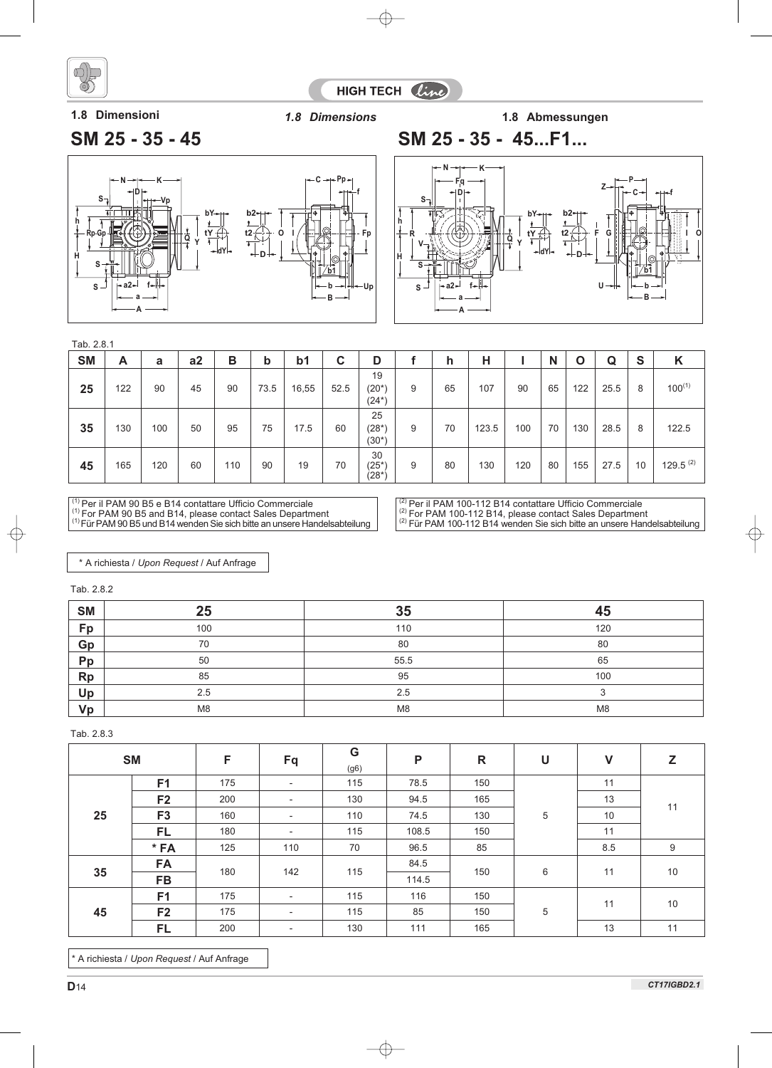

HIGH TECH Cine

**1.8 Dimensioni** *1.8 Dimensions* **1.8 Abmessungen**

# **SM 25 - 35 - 45 SM 25 - 35 - 45...F1...**





| ۰.<br>۰.<br>× |  |
|---------------|--|
|---------------|--|

| <b>SM</b> | A   | a   | a2 | В   | b    | b <sub>1</sub> | C    | D                         |   | h  | н     |     | N  | O   | Q    | S  | K           |
|-----------|-----|-----|----|-----|------|----------------|------|---------------------------|---|----|-------|-----|----|-----|------|----|-------------|
| 25        | 122 | 90  | 45 | 90  | 73.5 | 16,55          | 52.5 | 19<br>$(20^*)$<br>$(24*)$ | 9 | 65 | 107   | 90  | 65 | 122 | 25.5 | 8  | $100^{(1)}$ |
| 35        | 130 | 100 | 50 | 95  | 75   | 17.5           | 60   | 25<br>$(28*)$<br>$(30^*)$ | 9 | 70 | 123.5 | 100 | 70 | 130 | 28.5 | 8  | 122.5       |
| 45        | 165 | 120 | 60 | 110 | 90   | 19             | 70   | 30<br>$(25^*)$<br>(28*)   | 9 | 80 | 130   | 120 | 80 | 155 | 27.5 | 10 | 129.5 $(2)$ |

 $\frac{1}{2}$  Per il PAM 90 B5 e B14 contattare Ufficio Commerciale

<sup>(1)</sup> For PAM 90 B5 and B14, please contact Sales Department<br><sup>(1)</sup>Für PAM 90 B5 und B14 wenden Sie sich bitte an unsere Handelsabteilung

 $\frac{^{(2)}}{^{(2)}}$  Per il PAM 100-112 B14 contattare Ufficio Commerciale <sup>(2)</sup> For PAM 100-112 B14, please contact Sales Department<br><sup>(2)</sup> Für PAM 100-112 B14 wenden Sie sich bitte an unsere Handelsabteilung

\* A richiesta / *Upon Request* / Auf Anfrage

Tab. 2.8.2

| <b>SM</b> | 25             | 35             | 45             |
|-----------|----------------|----------------|----------------|
| Fp        | 100            | 110            | 120            |
| Gp        | 70             | 80             | 80             |
| Pp        | 50             | 55.5           | 65             |
| <b>Rp</b> | 85             | 95             | 100            |
| Up        | 2.5            | 2.5            | ◠              |
| Vp        | M <sub>8</sub> | M <sub>8</sub> | M <sub>8</sub> |

Tab. 2.8.3

|    | <b>SM</b>      | F   | Fq                       | G<br>(g6) | P     | $\mathsf{R}$ | U | $\mathsf{V}$ | Z  |
|----|----------------|-----|--------------------------|-----------|-------|--------------|---|--------------|----|
|    | F <sub>1</sub> | 175 | $\overline{\phantom{a}}$ | 115       | 78.5  | 150          |   | 11           | 11 |
| 25 | F <sub>2</sub> | 200 | $\overline{\phantom{a}}$ | 130       | 94.5  | 165          |   | 13           |    |
|    | F <sub>3</sub> | 160 | $\overline{\phantom{a}}$ | 110       | 74.5  | 130          | 5 | 10           |    |
|    | <b>FL</b>      | 180 | $\overline{\phantom{a}}$ | 115       | 108.5 | 150          |   | 11           |    |
|    | $*FA$          | 125 | 110                      | 70        | 96.5  | 85           |   | 8.5          | 9  |
| 35 | <b>FA</b>      | 180 | 142                      | 115       | 84.5  | 150          | 6 | 11           | 10 |
|    | <b>FB</b>      |     |                          |           | 114.5 |              |   |              |    |
|    | F <sub>1</sub> | 175 | $\overline{\phantom{a}}$ | 115       | 116   | 150          |   | 11           | 10 |
| 45 | F <sub>2</sub> | 175 | $\overline{\phantom{a}}$ | 115       | 85    | 150          | 5 |              |    |
|    | FL             | 200 |                          | 130       | 111   | 165          |   | 13           | 11 |

\* A richiesta / *Upon Request* / Auf Anfrage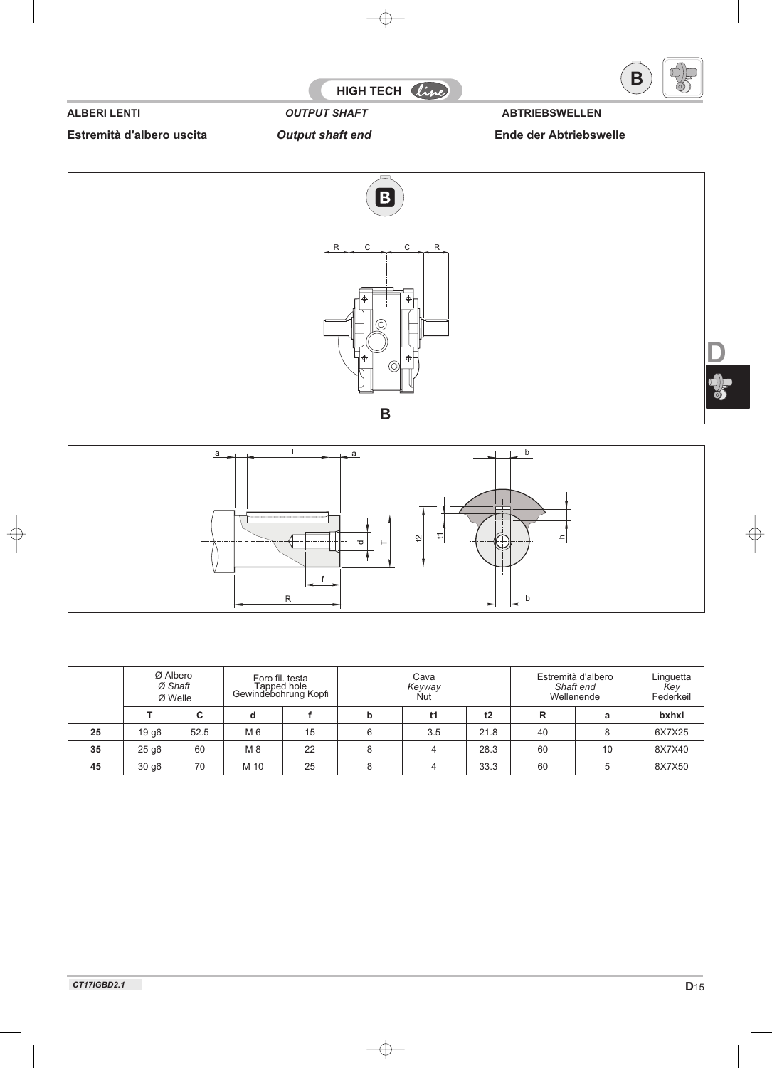

**Estremità d'albero uscita** *Output shaft end* **Ende der Abtriebswelle**





|    | Ø Albero<br>Ø Shaft<br>Ø Welle |      |      | Foro fil. testa<br>Tapped hole<br>Gewindebohrung Kopfi |   | Cava<br>Keyway<br><b>Nut</b> |      | Estremità d'albero<br>Shaft end<br>Wellenende |    | Linguetta<br>Key<br>Federkeil |
|----|--------------------------------|------|------|--------------------------------------------------------|---|------------------------------|------|-----------------------------------------------|----|-------------------------------|
|    |                                | C    | d    |                                                        | b | t1                           | t2   | R                                             | a  | bxhxl                         |
| 25 | 19 g <sub>6</sub>              | 52.5 | M 6  | 15                                                     | 6 | 3.5                          | 21.8 | 40                                            | 8  | 6X7X25                        |
| 35 | 25 <sub>g6</sub>               | 60   | M 8  | 22                                                     | 8 |                              | 28.3 | 60                                            | 10 | 8X7X40                        |
| 45 | 30 <sub>g6</sub>               | 70   | M 10 | 25                                                     |   |                              | 33.3 | 60                                            | 5  | 8X7X50                        |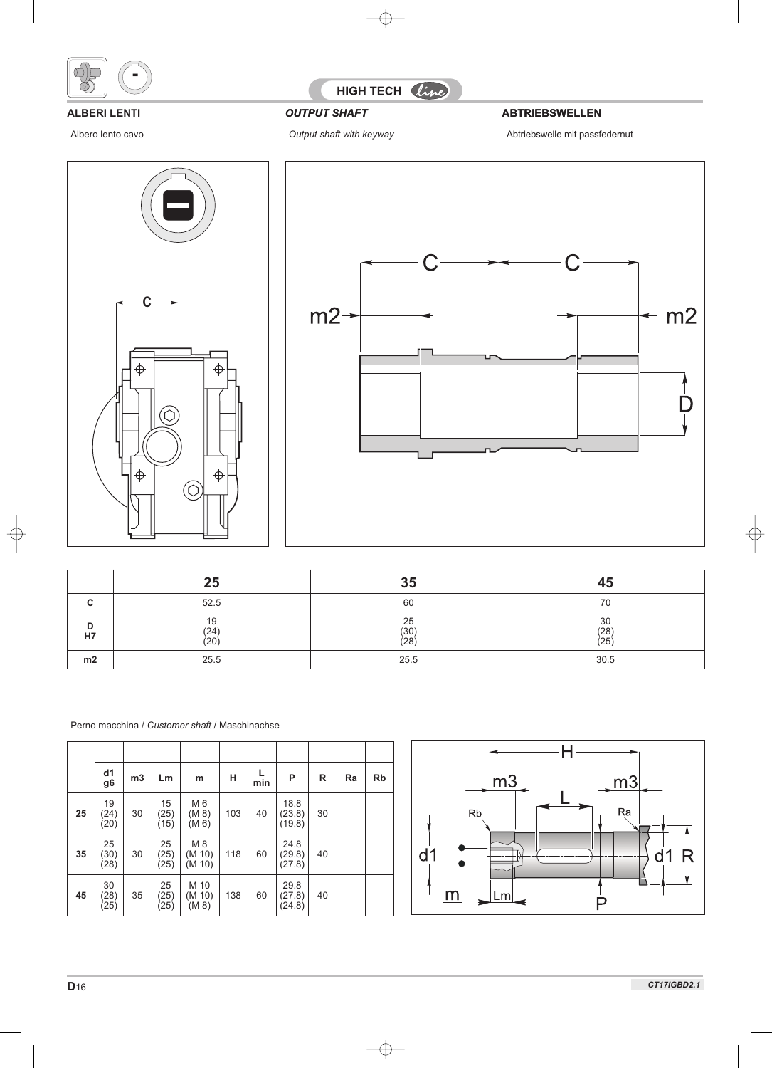



**OUTPUT SHAFT ABTRIEBSWELLEN** 

### **ALBERI LENTI**

Albero lento cavo





|         | 25                 | 35                     | 45                     |
|---------|--------------------|------------------------|------------------------|
|         | 52.5               | 60                     | 70                     |
| D<br>H7 | 19<br>(24)<br>(20) | 25<br>$(30)$<br>$(28)$ | 30<br>$(28)$<br>$(25)$ |
| m2      | 25.5               | 25.5                   | 30.5                   |

|    | d1<br>g <sub>6</sub> | m3 | Lm                 | m                       | н   | L<br>min | P                        | R  | Ra | <b>Rb</b> |
|----|----------------------|----|--------------------|-------------------------|-----|----------|--------------------------|----|----|-----------|
| 25 | 19<br>(24)<br>(20)   | 30 | 15<br>(25)<br>(15) | M 6<br>(M 8)<br>(M 6)   | 103 | 40       | 18.8<br>(23.8)<br>(19.8) | 30 |    |           |
| 35 | 25<br>(30)<br>(28)   | 30 | 25<br>(25)<br>(25) | M 8<br>(M 10)<br>(M 10) | 118 | 60       | 24.8<br>(29.8)<br>(27.8) | 40 |    |           |
| 45 | 30<br>(28)<br>(25)   | 35 | 25<br>(25)<br>(25) | M 10<br>(M 10)<br>(M 8) | 138 | 60       | 29.8<br>(27.8)<br>(24.8) | 40 |    |           |

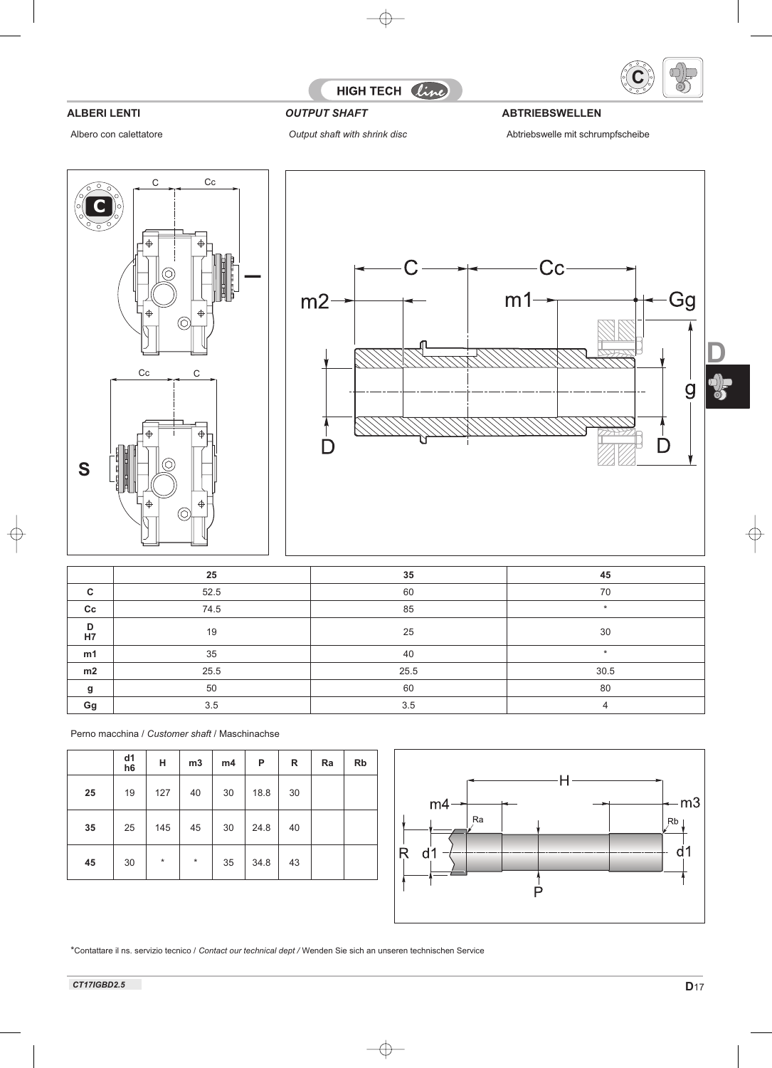

Albero con calettatore

# HIGH TECH line

## **ALBERI LENTI** *OUTPUT SHAFT* **ABTRIEBSWELLEN**

*Output shaft with shrink disc* Abtriebswelle mit schrumpfscheibe





|             | 25   | 35   | 45      |
|-------------|------|------|---------|
| C           | 52.5 | 60   | 70      |
| $_{\rm cc}$ | 74.5 | 85   | $\star$ |
| D<br>H7     | 19   | 25   | 30      |
| m1          | 35   | 40   | $\star$ |
| m2          | 25.5 | 25.5 | 30.5    |
| g           | 50   | 60   | 80      |
| Gg          | 3.5  | 3.5  |         |

Perno macchina / *Customer shaft* / Maschinachse

|    | d1<br>h <sub>6</sub> | н       | m3      | m4 | P    | R  | Ra | <b>Rb</b> |
|----|----------------------|---------|---------|----|------|----|----|-----------|
| 25 | 19                   | 127     | 40      | 30 | 18.8 | 30 |    |           |
| 35 | 25                   | 145     | 45      | 30 | 24.8 | 40 |    |           |
| 45 | 30                   | $\star$ | $\star$ | 35 | 34.8 | 43 |    |           |



\*Contattare il ns. servizio tecnico / *Contact our technical dept /* Wenden Sie sich an unseren technischen Service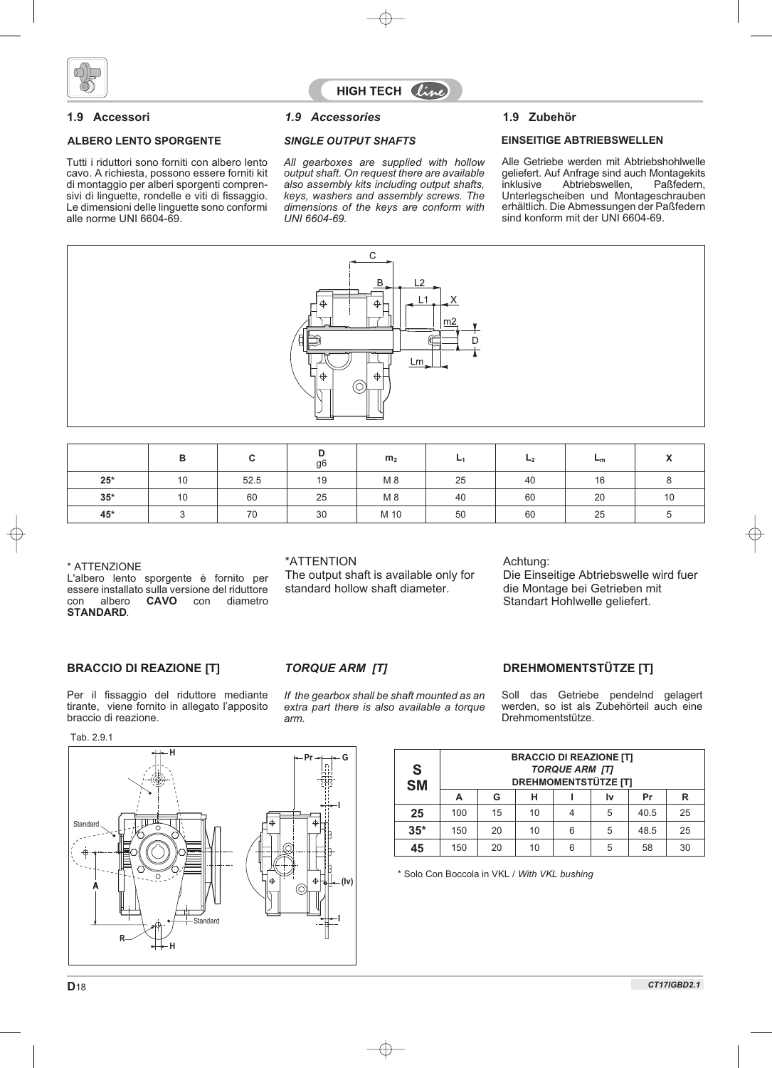

### **ALBERO LENTO SPORGENTE**

Tutti i riduttori sono forniti con albero lento cavo. A richiesta, possono essere forniti kit di montaggio per alberi sporgenti comprensivi di linguette, rondelle e viti di fissaggio. Le dimensioni delle linguette sono conformi alle norme UNI 6604-69.

### **1.9 Accessori 1.9 Zubehör** *1.9 Accessories*

*All gearboxes are supplied with hollow output shaft. On request there are available also assembly kits including output shafts, keys, washers and assembly screws. The dimensions of the keys are conform with UNI 6604-69.*

#### *SINGLE OUTPUT SHAFTS* **EINSEITIGE ABTRIEBSWELLEN**

Alle Getriebe werden mit Abtriebshohlwelle geliefert. Auf Anfrage sind auch Montagekits<br>inklusive Abtriebswellen. Paßfedern. Abtriebswellen, Unterlegscheiben und Montageschrauben erhältlich. Die Abmessungen der Paßfedern sind konform mit der UNI 6604-69.



|             | в  |      | ◡<br>g6 | m <sub>2</sub> | ┗  | L <sub>2</sub> | $-m$ |    |
|-------------|----|------|---------|----------------|----|----------------|------|----|
| $25^{\ast}$ | 10 | 52.5 | 19      | M 8            | 25 | 40             | 16   |    |
| $35*$       | 10 | 60   | 25      | M 8            | 40 | 60             | 20   | 10 |
| 45*         |    | 70   | 30      | M 10           | 50 | 60             | 25   |    |

\* ATTENZIONE

L'albero lento sporgente è fornito per essere installato sulla versione del riduttore<br>
con albero **CAVO** con diametro diametro **STANDARD**.

### \*ATTENTION

The output shaft is available only for standard hollow shaft diameter.

### Achtung:

Die Einseitige Abtriebswelle wird fuer die Montage bei Getrieben mit Standart Hohlwelle geliefert.

### **BRACCIO DI REAZIONE [T]** *TORQUE ARM [T]* **DREHMOMENTSTÜTZE [T]**

Per il fissaggio del riduttore mediante tirante, viene fornito in allegato l'apposito braccio di reazione.

Tab. 2.9.1



*If the gearbox shall be shaft mounted as an extra part there is also available a torque arm.*

Soll das Getriebe pendelnd gelagert werden, so ist als Zubehörteil auch eine Drehmomentstütze.

| S<br>SM | <b>BRACCIO DI REAZIONE [T]</b><br><b>TORQUE ARM [T]</b><br><b>DREHMOMENTSTÜTZE [T]</b><br>R<br>н<br>G<br>Pr<br>А<br>Ιv |    |    |   |   |      |    |  |  |
|---------|------------------------------------------------------------------------------------------------------------------------|----|----|---|---|------|----|--|--|
|         |                                                                                                                        |    |    |   |   |      |    |  |  |
| 25      | 100                                                                                                                    | 15 | 10 | 4 | 5 | 40.5 | 25 |  |  |
| $35*$   | 150                                                                                                                    | 20 | 10 | 6 | 5 | 48.5 | 25 |  |  |
| 45      | 150                                                                                                                    | 20 | 10 | 6 | 5 | 58   | 30 |  |  |

\* Solo Con Boccola in VKL / *With VKL bushing*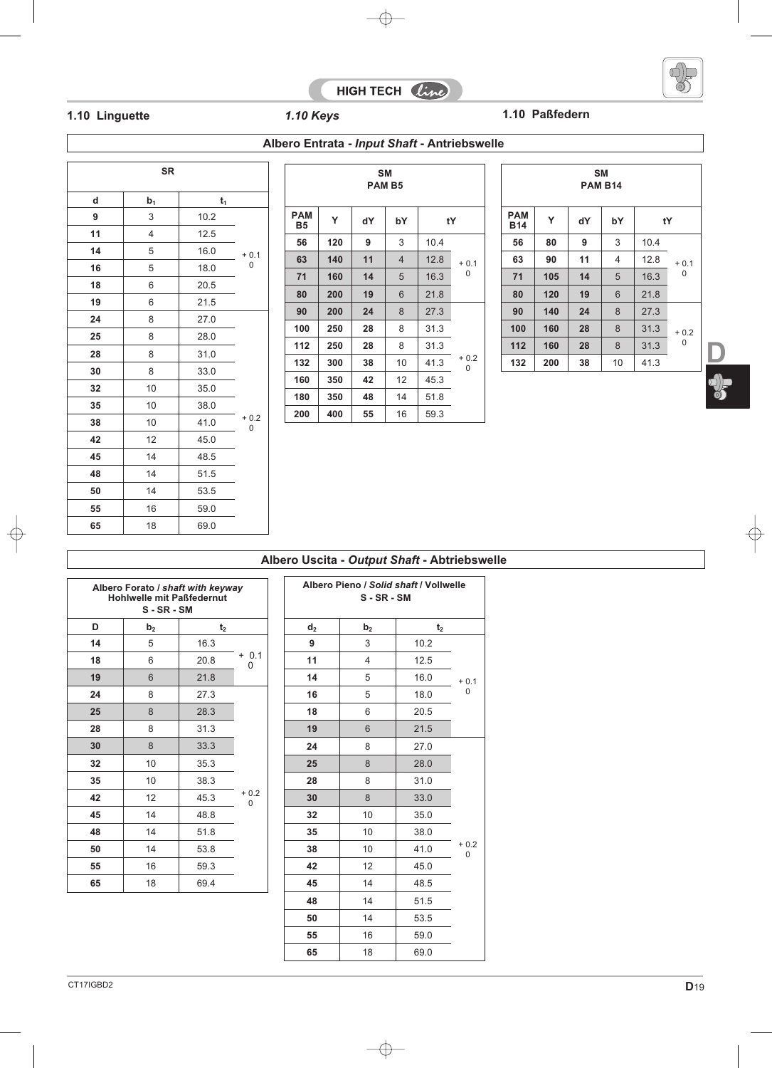



 $\frac{1}{3}$ 

 $\overline{1}$ 

## **1.10 Linguette** *1.10 Keys* **1.10 Paßfedern**

| <b>SR</b> |                |       |             |  |  |  |  |  |
|-----------|----------------|-------|-------------|--|--|--|--|--|
| d         | b <sub>1</sub> | $t_1$ |             |  |  |  |  |  |
| 9         | 3              | 10.2  |             |  |  |  |  |  |
| 11        | $\overline{4}$ | 12.5  |             |  |  |  |  |  |
| 14        | 5              | 16.0  | $+0.1$      |  |  |  |  |  |
| 16        | 5              | 18.0  | 0           |  |  |  |  |  |
| 18        | 6              | 20.5  |             |  |  |  |  |  |
| 19        | 6              | 21.5  |             |  |  |  |  |  |
| 24        | 8              | 27.0  |             |  |  |  |  |  |
| 25        | 8              | 28.0  |             |  |  |  |  |  |
| 28        | 8              | 31.0  |             |  |  |  |  |  |
| 30        | 8              | 33.0  |             |  |  |  |  |  |
| 32        | 10             | 35.0  |             |  |  |  |  |  |
| 35        | 10             | 38.0  |             |  |  |  |  |  |
| 38        | 10             | 41.0  | $+0.2$<br>0 |  |  |  |  |  |
| 42        | 12             | 45.0  |             |  |  |  |  |  |
| 45        | 14             | 48.5  |             |  |  |  |  |  |
| 48        | 14             | 51.5  |             |  |  |  |  |  |
| 50        | 14             | 53.5  |             |  |  |  |  |  |
| 55        | 16             | 59.0  |             |  |  |  |  |  |
| 65        | 18             | 69.0  |             |  |  |  |  |  |

| Albero Entrata - <i>Input Shaft</i> - Antriebswelle |
|-----------------------------------------------------|
|-----------------------------------------------------|

| <b>SM</b><br><b>PAM B5</b> |                     |    |                |      |             |  |  |  |
|----------------------------|---------------------|----|----------------|------|-------------|--|--|--|
| <b>PAM</b><br><b>B5</b>    | Y<br>dY<br>bY<br>tY |    |                |      |             |  |  |  |
| 56                         | 120                 | 9  | 3              | 10.4 |             |  |  |  |
| 63                         | 140                 | 11 | $\overline{4}$ | 12.8 | $+0.1$      |  |  |  |
| 71                         | 160                 | 14 | 5              | 16.3 | 0           |  |  |  |
| 80                         | 200                 | 19 | 6              | 21.8 |             |  |  |  |
| 90                         | 200                 | 24 | 8              | 27.3 |             |  |  |  |
| 100                        | 250                 | 28 | 8              | 31.3 |             |  |  |  |
| 112                        | 250                 | 28 | 8              | 31.3 |             |  |  |  |
| 132                        | 300                 | 38 | 10             | 41.3 | $+0.2$<br>0 |  |  |  |
| 160                        | 350                 | 42 | 12             | 45.3 |             |  |  |  |
| 180                        | 350                 | 48 | 14             | 51.8 |             |  |  |  |
| 200                        | 400                 | 55 | 16             | 59.3 |             |  |  |  |

| <b>SM</b><br><b>PAM B14</b> |                        |  |    |     |                          |
|-----------------------------|------------------------|--|----|-----|--------------------------|
|                             | bY<br>tY               |  | dY | Y   | <b>PAM</b><br><b>B14</b> |
|                             | 3<br>10.4              |  | 9  | 80  | 56                       |
| $+0.1$<br>0                 | $\overline{4}$<br>12.8 |  | 11 | 90  | 63                       |
|                             | 5<br>16.3              |  | 14 | 105 | 71                       |
|                             | 6<br>21.8              |  | 19 | 120 | 80                       |
|                             | 8<br>27.3              |  | 24 | 140 | 90                       |
| $+0.2$                      | 8<br>31.3              |  | 28 | 160 | 100                      |
| 0                           | 8<br>31.3              |  | 28 | 160 | 112                      |
|                             | 10<br>41.3             |  | 38 | 200 | 132                      |
|                             |                        |  |    |     |                          |

|  |  |  |  | Albero Uscita - Output Shaft - Abtriebswelle |  |
|--|--|--|--|----------------------------------------------|--|
|--|--|--|--|----------------------------------------------|--|

| Albero Forato / shaft with keyway<br><b>Hohlwelle mit Paßfedernut</b><br>S-SR-SM |                |                |              |  |
|----------------------------------------------------------------------------------|----------------|----------------|--------------|--|
| D                                                                                | b <sub>2</sub> | t <sub>2</sub> |              |  |
| 14                                                                               | 5              | 16.3           |              |  |
| 18                                                                               | 6              | 20.8           | $+ 0.1$<br>0 |  |
| 19                                                                               | 6              | 21.8           |              |  |
| 24                                                                               | 8              | 27.3           |              |  |
| 25                                                                               | 8              | 28.3           |              |  |
| 28                                                                               | 8              | 31.3           |              |  |
| 30                                                                               | 8              | 33.3           |              |  |
| 32                                                                               | 10             | 35.3           |              |  |
| 35                                                                               | 10             | 38.3           |              |  |
| 42                                                                               | 12             | 45.3           | $+0.2$<br>0  |  |
| 45                                                                               | 14             | 48.8           |              |  |
| 48                                                                               | 14             | 51.8           |              |  |
| 50                                                                               | 14             | 53.8           |              |  |
| 55                                                                               | 16             | 59.3           |              |  |
| 65                                                                               | 18             | 69.4           |              |  |

| Albero Pieno / Solid shaft / Vollwelle<br>$S - SR - SM$ |                |                |             |  |
|---------------------------------------------------------|----------------|----------------|-------------|--|
| d <sub>2</sub>                                          | b <sub>2</sub> | t <sub>2</sub> |             |  |
| 9                                                       | 3              | 10.2           |             |  |
| 11                                                      | 4              | 12.5           |             |  |
| 14                                                      | 5              | 16.0           | $+0.1$      |  |
| 16                                                      | 5              | 18.0           | 0           |  |
| 18                                                      | 6              | 20.5           |             |  |
| 19                                                      | 6              | 21.5           |             |  |
| 24                                                      | 8              | 27.0           |             |  |
| 25                                                      | 8              | 28.0           |             |  |
| 28                                                      | 8              | 31.0           |             |  |
| 30                                                      | 8              | 33.0           |             |  |
| 32                                                      | 10             | 35.0           |             |  |
| 35                                                      | 10             | 38.0           |             |  |
| 38                                                      | 10             | 41.0           | $+0.2$<br>0 |  |
| 42                                                      | 12             | 45.0           |             |  |
| 45                                                      | 14             | 48.5           |             |  |
| 48                                                      | 14             | 51.5           |             |  |
| 50                                                      | 14             | 53.5           |             |  |
| 55                                                      | 16             | 59.0           |             |  |
| 65                                                      | 18             | 69.0           |             |  |